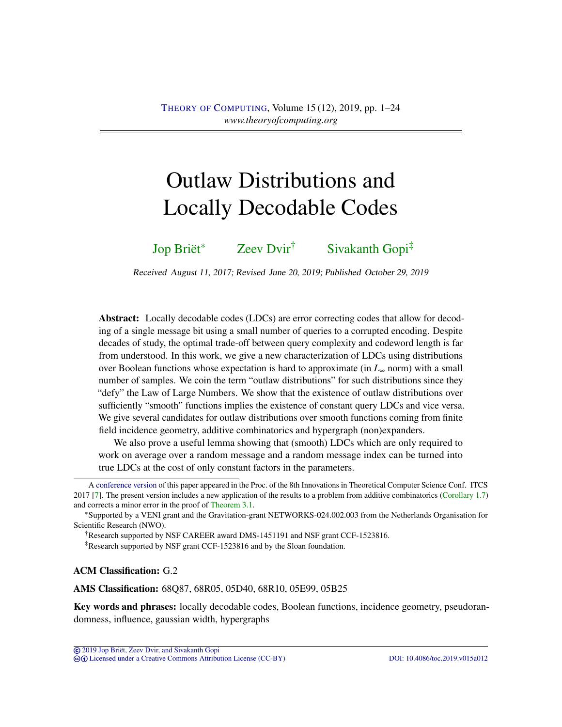# <span id="page-0-0"></span>Outlaw Distributions and Locally Decodable Codes

[Jop Briët](#page-22-0)<sup>∗</sup> [Zeev Dvir](#page-22-1)† [Sivakanth Gopi](#page-22-2)‡

Received August 11, 2017; Revised June 20, 2019; Published October 29, 2019

Abstract: Locally decodable codes (LDCs) are error correcting codes that allow for decoding of a single message bit using a small number of queries to a corrupted encoding. Despite decades of study, the optimal trade-off between query complexity and codeword length is far from understood. In this work, we give a new characterization of LDCs using distributions over Boolean functions whose expectation is hard to approximate (in *L*<sup>∞</sup> norm) with a small number of samples. We coin the term "outlaw distributions" for such distributions since they "defy" the Law of Large Numbers. We show that the existence of outlaw distributions over sufficiently "smooth" functions implies the existence of constant query LDCs and vice versa. We give several candidates for outlaw distributions over smooth functions coming from finite field incidence geometry, additive combinatorics and hypergraph (non)expanders.

We also prove a useful lemma showing that (smooth) LDCs which are only required to work on average over a random message and a random message index can be turned into true LDCs at the cost of only constant factors in the parameters.

†Research supported by NSF CAREER award DMS-1451191 and NSF grant CCF-1523816.

‡Research supported by NSF grant CCF-1523816 and by the Sloan foundation.

ACM Classification: G.2

AMS Classification: 68Q87, 68R05, 05D40, 68R10, 05E99, 05B25

Key words and phrases: locally decodable codes, Boolean functions, incidence geometry, pseudorandomness, influence, gaussian width, hypergraphs

A [conference version](https://dx.doi.org/10.4230/LIPIcs.ITCS.2017.20) of this paper appeared in the Proc. of the 8th Innovations in Theoretical Computer Science Conf. ITCS 2017 [\[7\]](#page-19-0). The present version includes a new application of the results to a problem from additive combinatorics [\(Corollary](#page-4-0) [1.7\)](#page-4-0) and corrects a minor error in the proof of [Theorem](#page-8-0) [3.1.](#page-8-0)

<sup>∗</sup>Supported by a VENI grant and the Gravitation-grant NETWORKS-024.002.003 from the Netherlands Organisation for Scientific Research (NWO).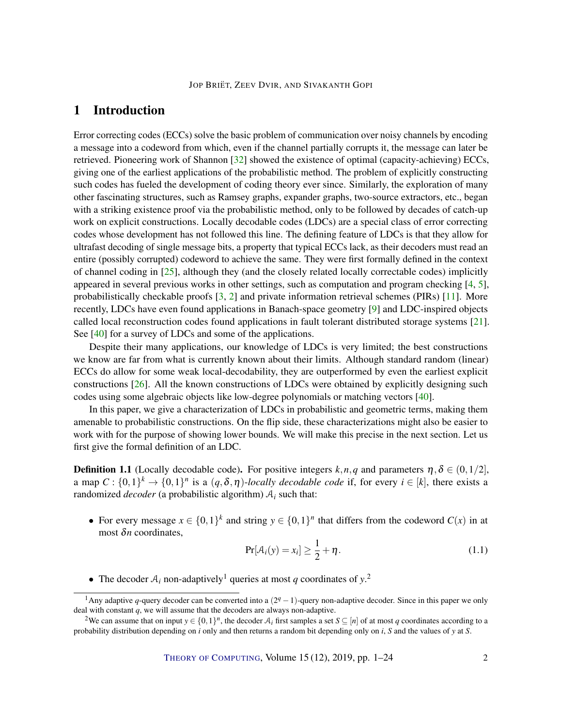# <span id="page-1-0"></span>1 Introduction

Error correcting codes (ECCs) solve the basic problem of communication over noisy channels by encoding a message into a codeword from which, even if the channel partially corrupts it, the message can later be retrieved. Pioneering work of Shannon [\[32\]](#page-21-0) showed the existence of optimal (capacity-achieving) ECCs, giving one of the earliest applications of the probabilistic method. The problem of explicitly constructing such codes has fueled the development of coding theory ever since. Similarly, the exploration of many other fascinating structures, such as Ramsey graphs, expander graphs, two-source extractors, etc., began with a striking existence proof via the probabilistic method, only to be followed by decades of catch-up work on explicit constructions. Locally decodable codes (LDCs) are a special class of error correcting codes whose development has not followed this line. The defining feature of LDCs is that they allow for ultrafast decoding of single message bits, a property that typical ECCs lack, as their decoders must read an entire (possibly corrupted) codeword to achieve the same. They were first formally defined in the context of channel coding in [\[25\]](#page-20-0), although they (and the closely related locally correctable codes) implicitly appeared in several previous works in other settings, such as computation and program checking [\[4,](#page-19-1) [5\]](#page-19-2), probabilistically checkable proofs [\[3,](#page-19-3) [2\]](#page-19-4) and private information retrieval schemes (PIRs) [\[11\]](#page-19-5). More recently, LDCs have even found applications in Banach-space geometry [\[9\]](#page-19-6) and LDC-inspired objects called local reconstruction codes found applications in fault tolerant distributed storage systems [\[21\]](#page-20-1). See [\[40\]](#page-22-3) for a survey of LDCs and some of the applications.

Despite their many applications, our knowledge of LDCs is very limited; the best constructions we know are far from what is currently known about their limits. Although standard random (linear) ECCs do allow for some weak local-decodability, they are outperformed by even the earliest explicit constructions [\[26\]](#page-21-1). All the known constructions of LDCs were obtained by explicitly designing such codes using some algebraic objects like low-degree polynomials or matching vectors [\[40\]](#page-22-3).

In this paper, we give a characterization of LDCs in probabilistic and geometric terms, making them amenable to probabilistic constructions. On the flip side, these characterizations might also be easier to work with for the purpose of showing lower bounds. We will make this precise in the next section. Let us first give the formal definition of an LDC.

**Definition 1.1** (Locally decodable code). For positive integers  $k, n, q$  and parameters  $\eta, \delta \in (0, 1/2]$ , a map  $C: \{0,1\}^k \to \{0,1\}^n$  is a  $(q,\delta,\eta)$ -*locally decodable code* if, for every  $i \in [k]$ , there exists a randomized *decoder* (a probabilistic algorithm)  $A_i$  such that:

• For every message  $x \in \{0,1\}^k$  and string  $y \in \{0,1\}^n$  that differs from the codeword  $C(x)$  in at most δ*n* coordinates,

$$
\Pr[\mathcal{A}_i(y) = x_i] \ge \frac{1}{2} + \eta. \tag{1.1}
$$

• The decoder  $A_i$  non-adaptively<sup>1</sup> queries at most *q* coordinates of  $y$ <sup>2</sup>

<sup>&</sup>lt;sup>1</sup>Any adaptive q-query decoder can be converted into a  $(2<sup>q</sup> - 1)$ -query non-adaptive decoder. Since in this paper we only deal with constant *q*, we will assume that the decoders are always non-adaptive.

<sup>&</sup>lt;sup>2</sup>We can assume that on input  $y \in \{0,1\}^n$ , the decoder  $A_i$  first samples a set  $S \subseteq [n]$  of at most *q* coordinates according to a probability distribution depending on *i* only and then returns a random bit depending only on *i*, *S* and the values of *y* at *S*.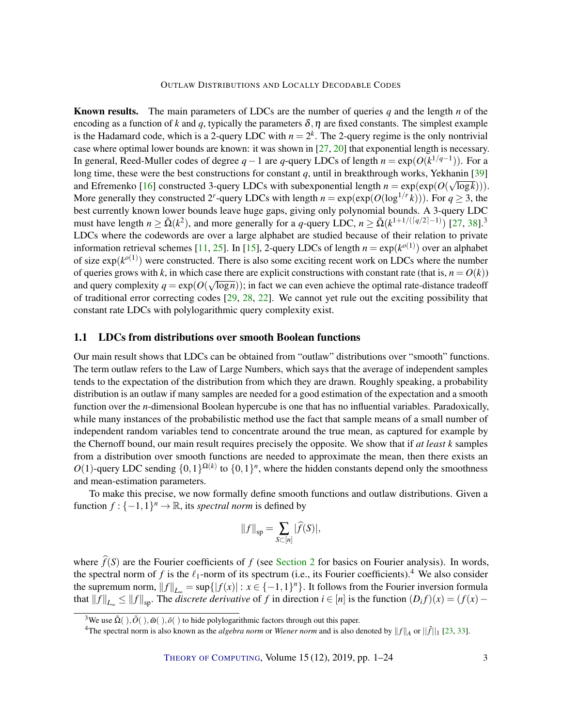<span id="page-2-0"></span>Known results. The main parameters of LDCs are the number of queries *q* and the length *n* of the encoding as a function of *k* and *q*, typically the parameters  $\delta$ ,  $\eta$  are fixed constants. The simplest example is the Hadamard code, which is a 2-query LDC with  $n = 2<sup>k</sup>$ . The 2-query regime is the only nontrivial case where optimal lower bounds are known: it was shown in [\[27,](#page-21-2) [20\]](#page-20-2) that exponential length is necessary. In general, Reed-Muller codes of degree *q*−1 are *q*-query LDCs of length *n* = exp(*O*(*k* 1/*q*−1 )). For a long time, these were the best constructions for constant *q*, until in breakthrough works, Yekhanin [\[39\]](#page-21-3) and Efremenko [\[16\]](#page-20-3) constructed 3-query LDCs with subexponential length  $n = \exp(\exp(O(\sqrt{\log k}))).$ More generally they constructed 2<sup>*r*</sup>-query LDCs with length  $n = \exp(\exp(O(\log^{1/r} k)))$ . For  $q \ge 3$ , the best currently known lower bounds leave huge gaps, giving only polynomial bounds. A 3-query LDC must have length  $n \ge \tilde{\Omega}(k^2)$ , and more generally for a *q*-query LDC,  $n \ge \tilde{\Omega}(k^{1+1/(\lceil q/2 \rceil-1)})$  [\[27,](#page-21-2) [38\]](#page-21-4).<sup>3</sup> LDCs where the codewords are over a large alphabet are studied because of their relation to private information retrieval schemes [\[11,](#page-19-5) [25\]](#page-20-0). In [\[15\]](#page-20-4), 2-query LDCs of length  $n = \exp(k^{o(1)})$  over an alphabet of size  $exp(k^{o(1)})$  were constructed. There is also some exciting recent work on LDCs where the number of queries grows with *k*, in which case there are explicit constructions with constant rate (that is,  $n = O(k)$ ) and query complexity  $q = \exp(O(\sqrt{\log n}))$ ; in fact we can even achieve the optimal rate-distance tradeoff of traditional error correcting codes  $[29, 28, 22]$  $[29, 28, 22]$  $[29, 28, 22]$  $[29, 28, 22]$  $[29, 28, 22]$ . We cannot yet rule out the exciting possibility that constant rate LDCs with polylogarithmic query complexity exist.

## 1.1 LDCs from distributions over smooth Boolean functions

Our main result shows that LDCs can be obtained from "outlaw" distributions over "smooth" functions. The term outlaw refers to the Law of Large Numbers, which says that the average of independent samples tends to the expectation of the distribution from which they are drawn. Roughly speaking, a probability distribution is an outlaw if many samples are needed for a good estimation of the expectation and a smooth function over the *n*-dimensional Boolean hypercube is one that has no influential variables. Paradoxically, while many instances of the probabilistic method use the fact that sample means of a small number of independent random variables tend to concentrate around the true mean, as captured for example by the Chernoff bound, our main result requires precisely the opposite. We show that if *at least k* samples from a distribution over smooth functions are needed to approximate the mean, then there exists an  $O(1)$ -query LDC sending  $\{0,1\}^{\Omega(k)}$  to  $\{0,1\}^n$ , where the hidden constants depend only the smoothness and mean-estimation parameters.

To make this precise, we now formally define smooth functions and outlaw distributions. Given a function  $f: \{-1, 1\}^n \to \mathbb{R}$ , its *spectral norm* is defined by

$$
||f||_{\rm sp} = \sum_{S \subset [n]} |\widehat{f}(S)|,
$$

where  $\hat{f}(S)$  are the Fourier coefficients of *f* (see [Section](#page-7-0) [2](#page-7-0) for basics on Fourier analysis). In words, the spectral norm of *f* is the  $\ell_1$ -norm of its spectrum (i.e., its Fourier coefficients).<sup>4</sup> We also consider the supremum norm,  $||f||_{L_{\infty}} = \sup\{|f(x)| : x \in \{-1,1\}^n\}$ . It follows from the Fourier inversion formula that  $||f||_{L_{\infty}} \le ||f||_{sp}$ . The *discrete derivative* of *f* in direction  $i \in [n]$  is the function  $(D_i f)(x) = (f(x) -$ 

<sup>&</sup>lt;sup>3</sup>We use  $\tilde{\Omega}(\cdot), \tilde{\Omega}(\cdot), \tilde{\omega}(\cdot), \tilde{\sigma}(\cdot)$  to hide polylogarithmic factors through out this paper.

<sup>&</sup>lt;sup>4</sup>The spectral norm is also known as the *algebra norm* or *Wiener norm* and is also denoted by  $||f||_A$  or  $||\hat{f}||_1$  [\[23,](#page-20-6) [33\]](#page-21-7).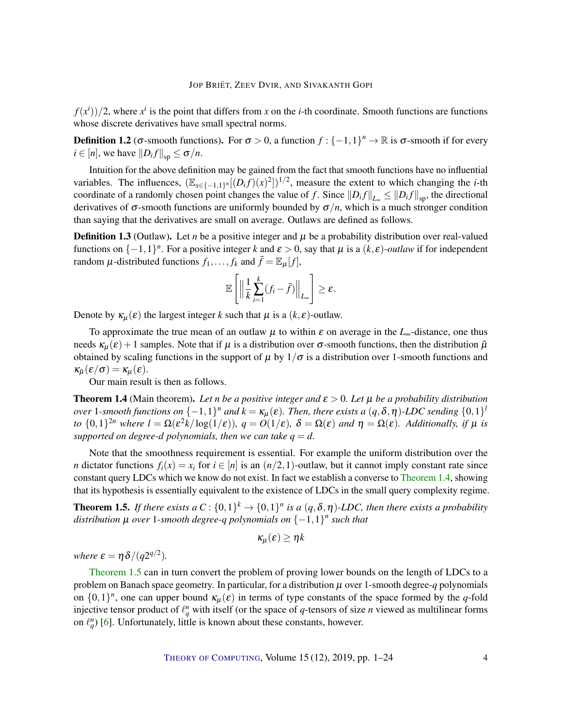<span id="page-3-3"></span> $f(x<sup>i</sup>)/2$ , where  $x<sup>i</sup>$  is the point that differs from *x* on the *i*-th coordinate. Smooth functions are functions whose discrete derivatives have small spectral norms.

**Definition 1.2** ( $\sigma$ -smooth functions). For  $\sigma > 0$ , a function  $f: \{-1,1\}^n \to \mathbb{R}$  is  $\sigma$ -smooth if for every  $i \in [n]$ , we have  $||D_i f||_{\text{sp}} \le \sigma/n$ .

Intuition for the above definition may be gained from the fact that smooth functions have no influential variables. The influences,  $(\mathbb{E}_{x \in \{-1,1\}^n}[(D_i f)(x)^2])^{1/2}$ , measure the extent to which changing the *i*-th coordinate of a randomly chosen point changes the value of *f*. Since  $||D_i f||_{L_{\infty}} \le ||D_i f||_{sp}$ , the directional derivatives of  $\sigma$ -smooth functions are uniformly bounded by  $\sigma/n$ , which is a much stronger condition than saying that the derivatives are small on average. Outlaws are defined as follows.

<span id="page-3-2"></span>**Definition 1.3** (Outlaw). Let *n* be a positive integer and  $\mu$  be a probability distribution over real-valued functions on  $\{-1,1\}^n$ . For a positive integer k and  $\varepsilon > 0$ , say that  $\mu$  is a  $(k,\varepsilon)$ -*outlaw* if for independent random  $\mu$ -distributed functions  $f_1, \ldots, f_k$  and  $\bar{f} = \mathbb{E}_{\mu}[f]$ ,

$$
\mathbb{E}\left[\left\|\frac{1}{k}\sum_{i=1}^k(f_i-\bar{f})\right\|_{L_{\infty}}\right]\geq \varepsilon.
$$

Denote by  $\kappa_{\mu}(\varepsilon)$  the largest integer *k* such that  $\mu$  is a  $(k, \varepsilon)$ -outlaw.

To approximate the true mean of an outlaw  $\mu$  to within  $\varepsilon$  on average in the  $L_{\infty}$ -distance, one thus needs  $\kappa_{\mu}(\varepsilon)$  + 1 samples. Note that if  $\mu$  is a distribution over  $\sigma$ -smooth functions, then the distribution  $\tilde{\mu}$ obtained by scaling functions in the support of  $\mu$  by  $1/\sigma$  is a distribution over 1-smooth functions and  $\kappa_{\tilde{\mu}}(\varepsilon/\sigma) = \kappa_{\mu}(\varepsilon).$ 

Our main result is then as follows.

<span id="page-3-0"></span>**Theorem 1.4** (Main theorem). Let *n* be a positive integer and  $\varepsilon > 0$ . Let  $\mu$  be a probability distribution *over* 1-smooth functions on  $\{-1,1\}$ <sup>n</sup> and  $k = \kappa_\mu(\varepsilon)$ . Then, there exists a  $(q,\delta,\eta)$ -LDC sending  $\{0,1\}^l$ *to*  $\{0,1\}^{2n}$  *where*  $l = \Omega(\varepsilon^2 k / \log(1/\varepsilon))$ *,*  $q = O(1/\varepsilon)$ *,*  $\delta = \Omega(\varepsilon)$  *and*  $\eta = \Omega(\varepsilon)$ *. Additionally, if*  $\mu$  *is supported on degree-d polynomials, then we can take*  $q = d$ *.* 

Note that the smoothness requirement is essential. For example the uniform distribution over the *n* dictator functions  $f_i(x) = x_i$  for  $i \in [n]$  is an  $(n/2, 1)$ -outlaw, but it cannot imply constant rate since constant query LDCs which we know do not exist. In fact we establish a converse to [Theorem](#page-3-0) [1.4,](#page-3-0) showing that its hypothesis is essentially equivalent to the existence of LDCs in the small query complexity regime.

<span id="page-3-1"></span>**Theorem 1.5.** If there exists a  $C: \{0,1\}^k \to \{0,1\}^n$  is a  $(q, \delta, \eta)$ -LDC, then there exists a probability *distribution* µ *over* 1*-smooth degree-q polynomials on* {−1,1} *n such that*

$$
\kappa_\mu(\varepsilon)\geq \eta k
$$

*where*  $\varepsilon = \eta \delta / (q2^{q/2}).$ 

[Theorem](#page-3-1) [1.5](#page-3-1) can in turn convert the problem of proving lower bounds on the length of LDCs to a problem on Banach space geometry. In particular, for a distribution  $\mu$  over 1-smooth degree- $q$  polynomials on  $\{0,1\}^n$ , one can upper bound  $\kappa_\mu(\varepsilon)$  in terms of type constants of the space formed by the *q*-fold injective tensor product of  $\ell_q^n$  with itself (or the space of *q*-tensors of size *n* viewed as multilinear forms on  $\ell_q^n$ ) [\[6\]](#page-19-7). Unfortunately, little is known about these constants, however.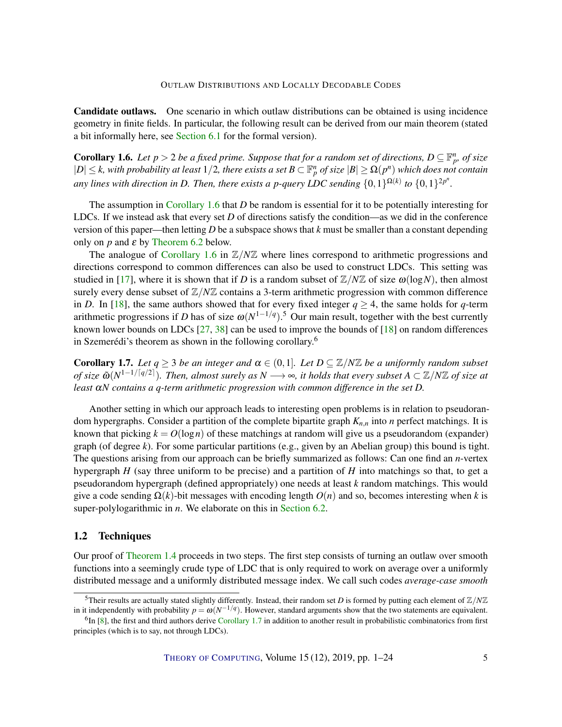<span id="page-4-2"></span>Candidate outlaws. One scenario in which outlaw distributions can be obtained is using incidence geometry in finite fields. In particular, the following result can be derived from our main theorem (stated a bit informally here, see [Section](#page-13-0) [6.1](#page-13-0) for the formal version).

<span id="page-4-1"></span>**Corollary 1.6.** Let  $p > 2$  be a fixed prime. Suppose that for a random set of directions,  $D \subseteq \mathbb{F}_p^n$ , of size  $|D| \leq k$ , with probability at least  $1/2$ , there exists a set  $B \subset \mathbb{F}_p^n$  of size  $|B| \geq \Omega(p^n)$  which does not contain *any lines with direction in D. Then, there exists a p-query LDC sending*  $\{0,1\}^{\Omega(k)}$  to  $\{0,1\}^{2p^n}$ .

The assumption in [Corollary](#page-4-1) [1.6](#page-4-1) that *D* be random is essential for it to be potentially interesting for LDCs. If we instead ask that every set *D* of directions satisfy the condition—as we did in the conference version of this paper—then letting *D* be a subspace shows that *k* must be smaller than a constant depending only on  $p$  and  $\varepsilon$  by [Theorem](#page-13-1) [6.2](#page-13-1) below.

The analogue of [Corollary](#page-4-1) [1.6](#page-4-1) in  $\mathbb{Z}/N\mathbb{Z}$  where lines correspond to arithmetic progressions and directions correspond to common differences can also be used to construct LDCs. This setting was studied in [\[17\]](#page-20-7), where it is shown that if *D* is a random subset of  $\mathbb{Z}/N\mathbb{Z}$  of size  $\omega(\log N)$ , then almost surely every dense subset of  $\mathbb{Z}/N\mathbb{Z}$  contains a 3-term arithmetic progression with common difference in *D*. In [\[18\]](#page-20-8), the same authors showed that for every fixed integer  $q > 4$ , the same holds for *q*-term arithmetic progressions if *D* has of size  $\omega(N^{1-1/q})$ .<sup>5</sup> Our main result, together with the best currently known lower bounds on LDCs  $[27, 38]$  $[27, 38]$  $[27, 38]$  can be used to improve the bounds of  $[18]$  on random differences in Szemerédi's theorem as shown in the following corollary.<sup>6</sup>

<span id="page-4-0"></span>**Corollary 1.7.** *Let*  $q \ge 3$  *be an integer and*  $\alpha \in (0,1]$ *. Let*  $D \subseteq \mathbb{Z}/N\mathbb{Z}$  *be a uniformly random subset*  $of$  size  $\tilde{\omega}(N^{1-1/\lceil q/2 \rceil})$ . Then, almost surely as  $N\longrightarrow \infty$ , it holds that every subset  $A\subset \Z/N\Z$  of size at *least* α*N contains a q-term arithmetic progression with common difference in the set D.*

Another setting in which our approach leads to interesting open problems is in relation to pseudorandom hypergraphs. Consider a partition of the complete bipartite graph *Kn*,*<sup>n</sup>* into *n* perfect matchings. It is known that picking  $k = O(\log n)$  of these matchings at random will give us a pseudorandom (expander) graph (of degree *k*). For some particular partitions (e.g., given by an Abelian group) this bound is tight. The questions arising from our approach can be briefly summarized as follows: Can one find an *n*-vertex hypergraph *H* (say three uniform to be precise) and a partition of *H* into matchings so that, to get a pseudorandom hypergraph (defined appropriately) one needs at least *k* random matchings. This would give a code sending Ω(*k*)-bit messages with encoding length *O*(*n*) and so, becomes interesting when *k* is super-polylogarithmic in *n*. We elaborate on this in [Section](#page-16-0) [6.2.](#page-16-0)

# 1.2 Techniques

Our proof of [Theorem](#page-3-0) [1.4](#page-3-0) proceeds in two steps. The first step consists of turning an outlaw over smooth functions into a seemingly crude type of LDC that is only required to work on average over a uniformly distributed message and a uniformly distributed message index. We call such codes *average-case smooth*

<sup>&</sup>lt;sup>5</sup>Their results are actually stated slightly differently. Instead, their random set *D* is formed by putting each element of  $\mathbb{Z}/N\mathbb{Z}$ in it independently with probability  $p = \omega(N^{-1/q})$ . However, standard arguments show that the two statements are equivalent.

 ${}^{6}$ In [\[8\]](#page-19-8), the first and third authors derive [Corollary](#page-4-0) [1.7](#page-4-0) in addition to another result in probabilistic combinatorics from first principles (which is to say, not through LDCs).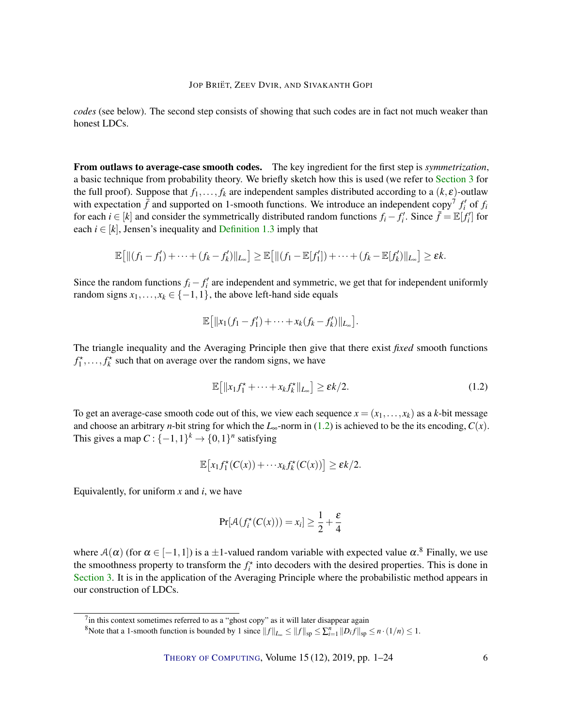*codes* (see below). The second step consists of showing that such codes are in fact not much weaker than honest LDCs.

From outlaws to average-case smooth codes. The key ingredient for the first step is *symmetrization*, a basic technique from probability theory. We briefly sketch how this is used (we refer to [Section](#page-8-1) [3](#page-8-1) for the full proof). Suppose that  $f_1, \ldots, f_k$  are independent samples distributed according to a  $(k, \varepsilon)$ -outlaw with expectation  $\bar{f}$  and supported on 1-smooth functions. We introduce an independent copy<sup>7</sup>  $f'_i$  of  $f_i$ for each  $i \in [k]$  and consider the symmetrically distributed random functions  $f_i - f'_i$ . Since  $\bar{f} = \mathbb{E}[f'_i]$  for each  $i \in [k]$ , Jensen's inequality and [Definition](#page-3-2) [1.3](#page-3-2) imply that

$$
\mathbb{E}\big[\|(f_1-f'_1)+\cdots+(f_k-f'_k)\|_{L_{\infty}}\big]\geq \mathbb{E}\big[\|(f_1-\mathbb{E}[f'_1])+\cdots+(f_k-\mathbb{E}[f'_k)\|_{L_{\infty}}\big]\geq \varepsilon k.
$$

Since the random functions  $f_i - f'_i$  are independent and symmetric, we get that for independent uniformly random signs  $x_1, \ldots, x_k \in \{-1, 1\}$ , the above left-hand side equals

$$
\mathbb{E} [ \|x_1(f_1 - f'_1) + \cdots + x_k(f_k - f'_k)\|_{L_{\infty}}].
$$

The triangle inequality and the Averaging Principle then give that there exist *fixed* smooth functions  $f_1^*, \ldots, f_k^*$  such that on average over the random signs, we have

<span id="page-5-0"></span>
$$
\mathbb{E}\left[\|x_1 f_1^* + \dots + x_k f_k^*\|_{L_\infty}\right] \ge \varepsilon k/2. \tag{1.2}
$$

To get an average-case smooth code out of this, we view each sequence  $x = (x_1, \ldots, x_k)$  as a *k*-bit message and choose an arbitrary *n*-bit string for which the  $L_{\infty}$ -norm in [\(1.2\)](#page-5-0) is achieved to be the its encoding,  $C(x)$ . This gives a map  $C: \{-1,1\}^k \to \{0,1\}^n$  satisfying

$$
\mathbb{E}\big[x_1f_1^{\star}(C(x))+\cdots x_kf_k^{\star}(C(x))\big]\geq \varepsilon k/2.
$$

Equivalently, for uniform *x* and *i*, we have

$$
\Pr[\mathcal{A}(f_i^*(C(x))) = x_i] \ge \frac{1}{2} + \frac{\varepsilon}{4}
$$

where  $A(\alpha)$  (for  $\alpha \in [-1,1]$ ) is a  $\pm 1$ -valued random variable with expected value  $\alpha$ .<sup>8</sup> Finally, we use the smoothness property to transform the  $f_i^*$  into decoders with the desired properties. This is done in [Section](#page-8-1) [3.](#page-8-1) It is in the application of the Averaging Principle where the probabilistic method appears in our construction of LDCs.

<sup>&</sup>lt;sup>7</sup>in this context sometimes referred to as a "ghost copy" as it will later disappear again

<sup>&</sup>lt;sup>8</sup>Note that a 1-smooth function is bounded by 1 since  $||f||_{L_{\infty}} \le ||f||_{sp} \le \sum_{i=1}^{n} ||D_i f||_{sp} \le n \cdot (1/n) \le 1$ .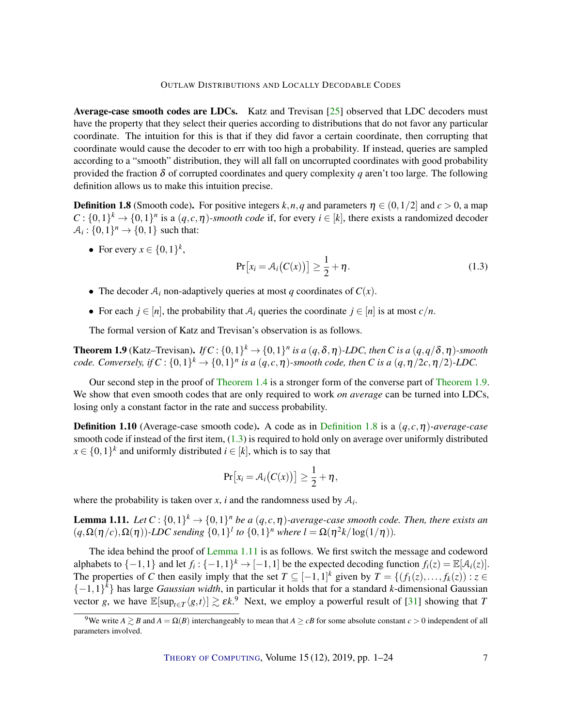#### OUTLAW DISTRIBUTIONS AND LOCALLY DECODABLE CODES

<span id="page-6-4"></span>Average-case smooth codes are LDCs. Katz and Trevisan [\[25\]](#page-20-0) observed that LDC decoders must have the property that they select their queries according to distributions that do not favor any particular coordinate. The intuition for this is that if they did favor a certain coordinate, then corrupting that coordinate would cause the decoder to err with too high a probability. If instead, queries are sampled according to a "smooth" distribution, they will all fall on uncorrupted coordinates with good probability provided the fraction  $\delta$  of corrupted coordinates and query complexity *q* aren't too large. The following definition allows us to make this intuition precise.

<span id="page-6-1"></span>**Definition 1.8** (Smooth code). For positive integers  $k, n, q$  and parameters  $\eta \in (0, 1/2]$  and  $c > 0$ , a map  $C: \{0,1\}^k \to \{0,1\}^n$  is a  $(q, c, \eta)$ *-smooth code* if, for every  $i \in [k]$ , there exists a randomized decoder  $A_i: \{0,1\}^n \rightarrow \{0,1\}$  such that:

• For every  $x \in \{0,1\}^k$ ,

<span id="page-6-2"></span>
$$
Pr[x_i = A_i(C(x))] \ge \frac{1}{2} + \eta.
$$
\n(1.3)

- The decoder  $A_i$  non-adaptively queries at most *q* coordinates of  $C(x)$ .
- For each  $j \in [n]$ , the probability that  $A_i$  queries the coordinate  $j \in [n]$  is at most  $c/n$ .

The formal version of Katz and Trevisan's observation is as follows.

<span id="page-6-0"></span>**Theorem 1.9** (Katz–Trevisan). *If*  $C: \{0,1\}^k \to \{0,1\}^n$  *is a*  $(q, \delta, \eta)$ -LDC, then C is a  $(q, q/\delta, \eta)$ -smooth *code.* Conversely, if  $C$  :  $\{0,1\}^k \to \{0,1\}^n$  is a  $(q,c,\eta)$ -smooth code, then C is a  $(q,\eta/2c,\eta/2)$ -LDC.

Our second step in the proof of [Theorem](#page-3-0) [1.4](#page-3-0) is a stronger form of the converse part of [Theorem](#page-6-0) [1.9.](#page-6-0) We show that even smooth codes that are only required to work *on average* can be turned into LDCs, losing only a constant factor in the rate and success probability.

**[Definition](#page-6-1) 1.10** (Average-case smooth code). A code as in Definition [1.8](#page-6-1) is a  $(q, c, \eta)$ -average-case smooth code if instead of the first item, [\(1.3\)](#page-6-2) is required to hold only on average over uniformly distributed  $x \in \{0,1\}^k$  and uniformly distributed  $i \in [k]$ , which is to say that

$$
Pr[x_i = A_i(C(x))] \geq \frac{1}{2} + \eta,
$$

where the probability is taken over  $x$ ,  $i$  and the randomness used by  $A_i$ .

<span id="page-6-3"></span>**Lemma 1.11.** Let  $C: \{0,1\}^k \to \{0,1\}^n$  be a  $(q,c,\eta)$ -average-case smooth code. Then, there exists an  $(q, \Omega(\eta/c), \Omega(\eta))$ *-LDC sending*  $\{0,1\}$ <sup>*l*</sup> *to*  $\{0,1\}$ <sup>*n*</sup> *where*  $l = \Omega(\eta^2 k / \log(1/\eta))$ *.* 

The idea behind the proof of [Lemma](#page-6-3) [1.11](#page-6-3) is as follows. We first switch the message and codeword alphabets to  $\{-1, 1\}$  and let  $f_i$  :  $\{-1, 1\}^k$  →  $[-1, 1]$  be the expected decoding function  $f_i(z) = \mathbb{E}[\mathcal{A}_i(z)]$ . The properties of *C* then easily imply that the set  $T \subseteq [-1,1]^k$  given by  $T = \{(f_1(z),...,f_k(z)) : z \in$ {−1,1} *k* } has large *Gaussian width*, in particular it holds that for a standard *k*-dimensional Gaussian vector *g*, we have  $\mathbb{E}[\sup_{t \in T} \langle g, t \rangle] \gtrsim \varepsilon k$ . Next, we employ a powerful result of [\[31\]](#page-21-8) showing that *T* 

<sup>&</sup>lt;sup>9</sup>We write  $A \gtrsim B$  and  $A = \Omega(B)$  interchangeably to mean that  $A \geq cB$  for some absolute constant  $c > 0$  independent of all parameters involved.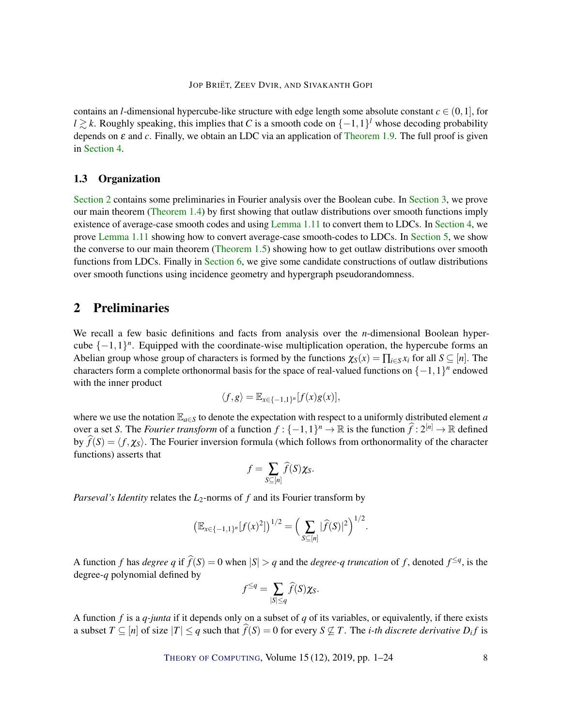contains an *l*-dimensional hypercube-like structure with edge length some absolute constant  $c \in (0,1]$ , for *l*  $\geq$  *k*. Roughly speaking, this implies that *C* is a smooth code on  $\{-1,1\}$ <sup>*l*</sup> whose decoding probability depends on  $\varepsilon$  and  $c$ . Finally, we obtain an LDC via an application of [Theorem](#page-6-0) [1.9.](#page-6-0) The full proof is given in [Section](#page-10-0) [4.](#page-10-0)

# 1.3 Organization

[Section](#page-7-0) [2](#page-7-0) contains some preliminaries in Fourier analysis over the Boolean cube. In [Section](#page-8-1) [3,](#page-8-1) we prove our main theorem [\(Theorem](#page-3-0) [1.4\)](#page-3-0) by first showing that outlaw distributions over smooth functions imply existence of average-case smooth codes and using [Lemma](#page-6-3) [1.11](#page-6-3) to convert them to LDCs. In [Section](#page-10-0) [4,](#page-10-0) we prove [Lemma](#page-6-3) [1.11](#page-6-3) showing how to convert average-case smooth-codes to LDCs. In [Section](#page-12-0) [5,](#page-12-0) we show the converse to our main theorem [\(Theorem](#page-3-1) [1.5\)](#page-3-1) showing how to get outlaw distributions over smooth functions from LDCs. Finally in [Section](#page-13-2) [6,](#page-13-2) we give some candidate constructions of outlaw distributions over smooth functions using incidence geometry and hypergraph pseudorandomness.

# <span id="page-7-0"></span>2 Preliminaries

We recall a few basic definitions and facts from analysis over the *n*-dimensional Boolean hypercube  $\{-1,1\}^n$ . Equipped with the coordinate-wise multiplication operation, the hypercube forms an Abelian group whose group of characters is formed by the functions  $\chi_S(x) = \prod_{i \in S} x_i$  for all  $S \subseteq [n]$ . The characters form a complete orthonormal basis for the space of real-valued functions on  $\{-1,1\}^n$  endowed with the inner product

$$
\langle f,g\rangle = \mathbb{E}_{x\in\{-1,1\}^n}[f(x)g(x)],
$$

where we use the notation  $\mathbb{E}_{a \in S}$  to denote the expectation with respect to a uniformly distributed element *a* over a set *S*. The *Fourier transform* of a function  $f: \{-1,1\}^n \to \mathbb{R}$  is the function  $\widehat{f}: 2^{[n]} \to \mathbb{R}$  defined by  $f(S) = \langle f, \chi_S \rangle$ . The Fourier inversion formula (which follows from orthonormality of the character functions) asserts that

$$
f=\sum_{S\subseteq[n]}\widehat{f}(S)\chi_S.
$$

*Parseval's Identity* relates the *L*2-norms of *f* and its Fourier transform by

$$
\left(\mathbb{E}_{x\in\{-1,1\}^n}[f(x)^2]\right)^{1/2}=\left(\sum_{S\subseteq[n]}|\widehat{f}(S)|^2\right)^{1/2}.
$$

A function *f* has *degree q* if  $\hat{f}(S) = 0$  when  $|S| > q$  and the *degree-q truncation* of *f*, denoted  $f^{\leq q}$ , is the degree-*q* polynomial defined by

$$
f^{\leq q} = \sum_{|S| \leq q} \widehat{f}(S) \chi_S.
$$

A function *f* is a *q-junta* if it depends only on a subset of *q* of its variables, or equivalently, if there exists a subset  $T \subseteq [n]$  of size  $|T| \le q$  such that  $f(S) = 0$  for every  $S \nsubseteq T$ . The *i-th discrete derivative*  $D_i f$  is

THEORY OF C[OMPUTING](http://dx.doi.org/10.4086/toc), Volume 15 (12), 2019, pp. 1–24 8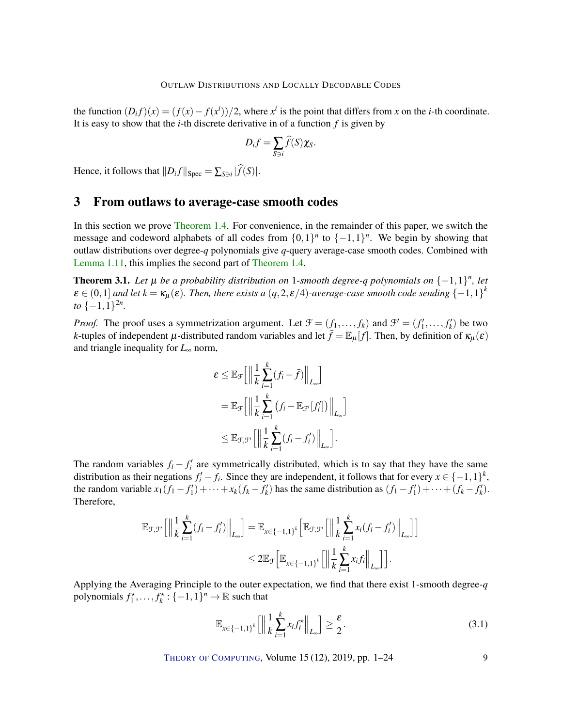the function  $(D_i f)(x) = (f(x) - f(x^i))/2$ , where  $x^i$  is the point that differs from *x* on the *i*-th coordinate. It is easy to show that the *i*-th discrete derivative in of a function *f* is given by

$$
D_i f = \sum_{S \ni i} \widehat{f}(S) \chi_S.
$$

Hence, it follows that  $||D_i f||_{Spec} = \sum_{S \ni i} |f(S)|$ .

# <span id="page-8-1"></span>3 From outlaws to average-case smooth codes

In this section we prove [Theorem](#page-3-0) [1.4.](#page-3-0) For convenience, in the remainder of this paper, we switch the message and codeword alphabets of all codes from  $\{0,1\}^n$  to  $\{-1,1\}^n$ . We begin by showing that outlaw distributions over degree-*q* polynomials give *q*-query average-case smooth codes. Combined with [Lemma](#page-6-3) [1.11,](#page-6-3) this implies the second part of [Theorem](#page-3-0) [1.4.](#page-3-0)

<span id="page-8-0"></span>**Theorem 3.1.** Let  $\mu$  be a probability distribution on 1-smooth degree-q polynomials on  $\{-1,1\}^n$ , let  $\epsilon \in (0,1]$  and let  $k = \kappa_\mu(\epsilon)$ . Then, there exists a  $(q, 2, \epsilon/4)$ -average-case smooth code sending  $\{-1,1\}^k$ *to*  $\{-1, 1\}^{2n}$ .

*Proof.* The proof uses a symmetrization argument. Let  $\mathcal{F} = (f_1, \ldots, f_k)$  and  $\mathcal{F}' = (f'_1, \ldots, f'_k)$  be two *k*-tuples of independent  $\mu$ -distributed random variables and let  $\bar{f} = \mathbb{E}_{\mu}[f]$ . Then, by definition of  $\kappa_{\mu}(\varepsilon)$ and triangle inequality for *L*<sup>∞</sup> norm,

$$
\varepsilon \leq \mathbb{E}_{\mathcal{F}}\Big[\Big\|\frac{1}{k}\sum_{i=1}^{k}(f_{i}-\bar{f})\Big\|_{L_{\infty}}\Big]
$$
  
= 
$$
\mathbb{E}_{\mathcal{F}}\Big[\Big\|\frac{1}{k}\sum_{i=1}^{k}(f_{i}-\mathbb{E}_{\mathcal{F}'}[f'_{i}])\Big\|_{L_{\infty}}\Big]
$$
  

$$
\leq \mathbb{E}_{\mathcal{F},\mathcal{F}'}\Big[\Big\|\frac{1}{k}\sum_{i=1}^{k}(f_{i}-f'_{i})\Big\|_{L_{\infty}}\Big].
$$

The random variables  $f_i - f'_i$  are symmetrically distributed, which is to say that they have the same distribution as their negations  $f'_i - f_i$ . Since they are independent, it follows that for every  $x \in \{-1,1\}^k$ , the random variable  $x_1(f_1 - f'_1) + \cdots + x_k(f_k - f'_k)$  has the same distribution as  $(f_1 - f'_1) + \cdots + (f_k - f'_k)$ . Therefore,

$$
\mathbb{E}_{\mathcal{F},\mathcal{F}'}\Big[\Big\|\frac{1}{k}\sum_{i=1}^k(f_i-f'_i)\Big\|_{L_{\infty}}\Big] = \mathbb{E}_{x\in\{-1,1\}^k}\Big[\mathbb{E}_{\mathcal{F},\mathcal{F}'}\Big[\Big\|\frac{1}{k}\sum_{i=1}^k x_i(f_i-f'_i)\Big\|_{L_{\infty}}\Big]\Big] \leq 2\mathbb{E}_{\mathcal{F}}\Big[\mathbb{E}_{x\in\{-1,1\}^k}\Big[\Big\|\frac{1}{k}\sum_{i=1}^k x_i f_i\Big\|_{L_{\infty}}\Big]\Big].
$$

Applying the Averaging Principle to the outer expectation, we find that there exist 1-smooth degree-*q* polynomials  $f_1^*, \ldots, f_k^* : \{-1,1\}^n \to \mathbb{R}$  such that

<span id="page-8-2"></span>
$$
\mathbb{E}_{x \in \{-1,1\}^k} \left[ \left\| \frac{1}{k} \sum_{i=1}^k x_i f_i^{\star} \right\|_{L_{\infty}} \right] \ge \frac{\varepsilon}{2}.
$$
\n(3.1)

THEORY OF C[OMPUTING](http://dx.doi.org/10.4086/toc), Volume  $15(12)$ ,  $2019$ , pp.  $1-24$  9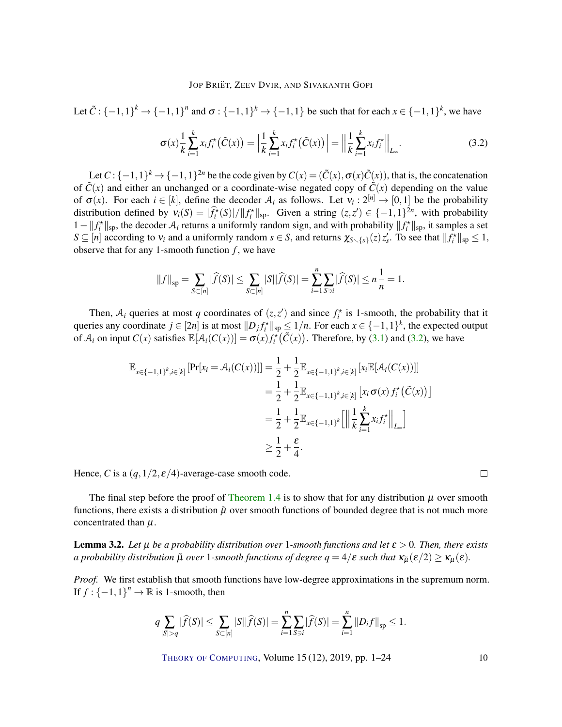Let  $\tilde{C}$  :  $\{-1,1\}^k \rightarrow \{-1,1\}^n$  and  $\sigma$  :  $\{-1,1\}^k \rightarrow \{-1,1\}$  be such that for each  $x \in \{-1,1\}^k$ , we have

<span id="page-9-0"></span>
$$
\sigma(x)\frac{1}{k}\sum_{i=1}^{k}x_{i}f_{i}^{*}\left(\tilde{C}(x)\right) = \left|\frac{1}{k}\sum_{i=1}^{k}x_{i}f_{i}^{*}\left(\tilde{C}(x)\right)\right| = \left|\left|\frac{1}{k}\sum_{i=1}^{k}x_{i}f_{i}^{*}\right|\right|_{L_{\infty}}.
$$
\n(3.2)

Let  $C: \{-1,1\}^k \to \{-1,1\}^{2n}$  be the code given by  $C(x) = (\tilde{C}(x), \sigma(x)\tilde{C}(x))$ , that is, the concatenation of  $\tilde{C}(x)$  and either an unchanged or a coordinate-wise negated copy of  $\tilde{C}(x)$  depending on the value of  $\sigma(x)$ . For each  $i \in [k]$ , define the decoder  $A_i$  as follows. Let  $v_i : 2^{[n]} \to [0,1]$  be the probability distribution defined by  $v_i(S) = |\hat{f}_i^*(S)|/||f_i^*||_{sp}$ . Given a string  $(z, z') \in \{-1, 1\}^{2n}$ , with probability 1 -  $||f_i^*||_{\text{sp}}$ , the decoder A<sub>*i*</sub> returns a uniformly random sign, and with probability  $||f_i^*||_{\text{sp}}$ , it samples a set  $S \subseteq [n]$  according to  $v_i$  and a uniformly random  $s \in S$ , and returns  $\chi_{S \setminus \{s\}}(z) z_s'$ . To see that  $||f_i^*||_{sp} \leq 1$ , observe that for any 1-smooth function  $f$ , we have

$$
||f||_{\rm sp} = \sum_{S \subset [n]} |\widehat{f}(S)| \le \sum_{S \subset [n]} |S| |\widehat{f}(S)| = \sum_{i=1}^n \sum_{S \ni i} |\widehat{f}(S)| \le n \frac{1}{n} = 1.
$$

Then,  $A_i$  queries at most *q* coordinates of  $(z, z')$  and since  $f_i^*$  is 1-smooth, the probability that it queries any coordinate  $j \in [2n]$  is at most  $||D_j f_i^*||_{sp} \le 1/n$ . For each  $x \in \{-1,1\}^k$ , the expected output of  $A_i$  on input  $C(x)$  satisfies  $\mathbb{E}[A_i(C(x))] = \sigma(x) f_i^*(\tilde{C}(x))$ . Therefore, by [\(3.1\)](#page-8-2) and [\(3.2\)](#page-9-0), we have

$$
\mathbb{E}_{x \in \{-1,1\}^k, i \in [k]} \left[ \Pr[x_i = A_i(C(x))] \right] = \frac{1}{2} + \frac{1}{2} \mathbb{E}_{x \in \{-1,1\}^k, i \in [k]} \left[ x_i \mathbb{E}[\mathcal{A}_i(C(x))] \right]
$$
  
\n
$$
= \frac{1}{2} + \frac{1}{2} \mathbb{E}_{x \in \{-1,1\}^k, i \in [k]} \left[ x_i \sigma(x) f_i^*(C(x)) \right]
$$
  
\n
$$
= \frac{1}{2} + \frac{1}{2} \mathbb{E}_{x \in \{-1,1\}^k} \left[ \left\| \frac{1}{k} \sum_{i=1}^k x_i f_i^* \right\|_{L_{\infty}} \right]
$$
  
\n
$$
\geq \frac{1}{2} + \frac{\varepsilon}{4}.
$$

Hence, *C* is a  $(q, 1/2, \varepsilon/4)$ -average-case smooth code.

The final step before the proof of [Theorem](#page-3-0) [1.4](#page-3-0) is to show that for any distribution  $\mu$  over smooth functions, there exists a distribution  $\tilde{\mu}$  over smooth functions of bounded degree that is not much more concentrated than  $\mu$ .

<span id="page-9-1"></span>**Lemma 3.2.** *Let*  $\mu$  *be a probability distribution over* 1-smooth functions and let  $\varepsilon > 0$ . Then, there exists *a probability distribution*  $\tilde{\mu}$  *over* 1*-smooth functions of degree*  $q = 4/\varepsilon$  *such that*  $\kappa_{\tilde{\mu}}(\varepsilon/2) \geq \kappa_{\mu}(\varepsilon)$ .

*Proof.* We first establish that smooth functions have low-degree approximations in the supremum norm. If  $f: \{-1, 1\}^n \to \mathbb{R}$  is 1-smooth, then

$$
q \sum_{|S|>q} |\widehat{f}(S)| \leq \sum_{S \subset [n]} |S| |\widehat{f}(S)| = \sum_{i=1}^n \sum_{S \ni i} |\widehat{f}(S)| = \sum_{i=1}^n \|D_i f\|_{sp} \leq 1.
$$

THEORY OF C[OMPUTING](http://dx.doi.org/10.4086/toc), Volume 15 (12), 2019, pp. 1–24 10

 $\Box$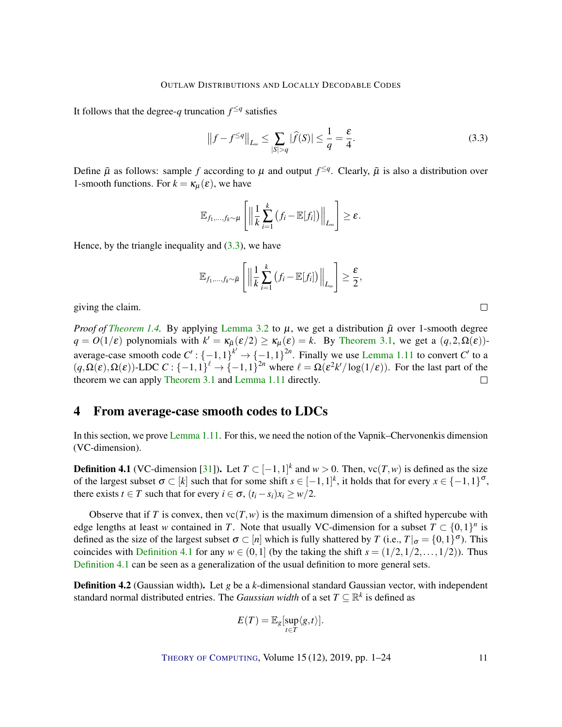<span id="page-10-3"></span>It follows that the degree-*q* truncation  $f^{\leq q}$  satisfies

<span id="page-10-1"></span>
$$
\left\|f - f^{\leq q}\right\|_{L_{\infty}} \leq \sum_{|S| > q} |\widehat{f}(S)| \leq \frac{1}{q} = \frac{\varepsilon}{4}.\tag{3.3}
$$

Define  $\tilde{\mu}$  as follows: sample *f* according to  $\mu$  and output  $f^{\leq q}$ . Clearly,  $\tilde{\mu}$  is also a distribution over 1-smooth functions. For  $k = \kappa_{\mu}(\varepsilon)$ , we have

$$
\mathbb{E}_{f_1,\ldots,f_k\sim\mu}\left[\left\|\frac{1}{k}\sum_{i=1}^k\left(f_i-\mathbb{E}[f_i]\right)\right\|_{L_{\infty}}\right]\geq\varepsilon.
$$

Hence, by the triangle inequality and  $(3.3)$ , we have

$$
\mathbb{E}_{f_1,\ldots,f_k\sim\tilde{\mu}}\left[\left\|\frac{1}{k}\sum_{i=1}^k\left(f_i-\mathbb{E}[f_i]\right)\right\|_{L_{\infty}}\right]\geq\frac{\varepsilon}{2},
$$

giving the claim.

*Proof of [Theorem](#page-3-0) [1.4.](#page-3-0)* By applying [Lemma](#page-9-1) [3.2](#page-9-1) to  $\mu$ , we get a distribution  $\tilde{\mu}$  over 1-smooth degree  $q = O(1/\varepsilon)$  polynomials with  $k' = \kappa_{\tilde{\mu}}(\varepsilon/2) \ge \kappa_{\mu}(\varepsilon) = k$ . By [Theorem](#page-8-0) [3.1,](#page-8-0) we get a  $(q, 2, \Omega(\varepsilon))$ average-case smooth code  $C'$ :  $\{-1,1\}^{k'} \rightarrow \{-1,1\}^{2n}$ . Finally we use [Lemma](#page-6-3) [1.11](#page-6-3) to convert  $C'$  to a  $(q, \Omega(\varepsilon), \Omega(\varepsilon))$ -LDC  $C : \{-1, 1\}^{\ell} \to \{-1, 1\}^{2n}$  where  $\ell = \Omega(\varepsilon^2 k' / \log(1/\varepsilon))$ . For the last part of the theorem we can apply [Theorem](#page-8-0) [3.1](#page-8-0) and [Lemma](#page-6-3) [1.11](#page-6-3) directly. П

# <span id="page-10-0"></span>4 From average-case smooth codes to LDCs

In this section, we prove [Lemma](#page-6-3) [1.11.](#page-6-3) For this, we need the notion of the Vapnik–Chervonenkis dimension (VC-dimension).

<span id="page-10-2"></span>**Definition 4.1** (VC-dimension [\[31\]](#page-21-8)). Let  $T \subset [-1,1]^k$  and  $w > 0$ . Then,  $vc(T, w)$  is defined as the size of the largest subset  $\sigma \subset [k]$  such that for some shift  $s \in [-1,1]^k$ , it holds that for every  $x \in \{-1,1\}^{\sigma}$ , there exists  $t \in T$  such that for every  $i \in \sigma$ ,  $(t_i - s_i)x_i \geq w/2$ .

Observe that if *T* is convex, then  $vc(T, w)$  is the maximum dimension of a shifted hypercube with edge lengths at least *w* contained in *T*. Note that usually VC-dimension for a subset  $T \subset \{0,1\}^n$  is defined as the size of the largest subset  $\sigma \subset [n]$  which is fully shattered by *T* (i.e.,  $T|_{\sigma} = \{0,1\}^{\sigma}$ ). This coincides with [Definition](#page-10-2) [4.1](#page-10-2) for any  $w \in (0,1]$  (by the taking the shift  $s = (1/2,1/2,\ldots,1/2)$ ). Thus [Definition](#page-10-2) [4.1](#page-10-2) can be seen as a generalization of the usual definition to more general sets.

Definition 4.2 (Gaussian width). Let *g* be a *k*-dimensional standard Gaussian vector, with independent standard normal distributed entries. The *Gaussian width* of a set  $T \subseteq \mathbb{R}^k$  is defined as

$$
E(T) = \mathbb{E}_g[\sup_{t \in T} \langle g, t \rangle].
$$

 $\Box$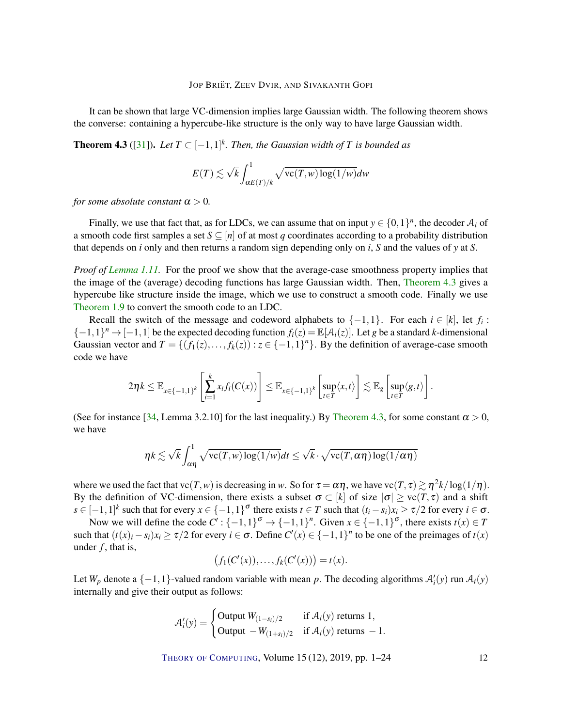<span id="page-11-1"></span>It can be shown that large VC-dimension implies large Gaussian width. The following theorem shows the converse: containing a hypercube-like structure is the only way to have large Gaussian width.

<span id="page-11-0"></span>**Theorem 4.3** ([\[31\]](#page-21-8)). Let  $T \subset [-1,1]^k$ . Then, the Gaussian width of T is bounded as

$$
E(T) \lesssim \sqrt{k} \int_{\alpha E(T)/k}^{1} \sqrt{\text{vc}(T,w) \log(1/w)} dw
$$

*for some absolute constant*  $\alpha > 0$ *.* 

Finally, we use that fact that, as for LDCs, we can assume that on input  $y \in \{0,1\}^n$ , the decoder  $A_i$  of a smooth code first samples a set  $S \subseteq [n]$  of at most *q* coordinates according to a probability distribution that depends on *i* only and then returns a random sign depending only on *i*, *S* and the values of *y* at *S*.

*Proof of [Lemma](#page-6-3) [1.11.](#page-6-3)* For the proof we show that the average-case smoothness property implies that the image of the (average) decoding functions has large Gaussian width. Then, [Theorem](#page-11-0) [4.3](#page-11-0) gives a hypercube like structure inside the image, which we use to construct a smooth code. Finally we use [Theorem](#page-6-0) [1.9](#page-6-0) to convert the smooth code to an LDC.

Recall the switch of the message and codeword alphabets to  $\{-1,1\}$ . For each  $i \in [k]$ , let  $f_i$ :  $\{-1,1\}^n \rightarrow [-1,1]$  be the expected decoding function  $f_i(z) = \mathbb{E}[\mathcal{A}_i(z)]$ . Let *g* be a standard *k*-dimensional Gaussian vector and  $T = \{(f_1(z),...,f_k(z)): z \in \{-1,1\}^n\}$ . By the definition of average-case smooth code we have

$$
2\eta k \leq \mathbb{E}_{x \in \{-1,1\}^k} \left[\sum_{i=1}^k x_i f_i(C(x))\right] \leq \mathbb{E}_{x \in \{-1,1\}^k} \left[\sup_{t \in T} \langle x,t\rangle\right] \lesssim \mathbb{E}_g \left[\sup_{t \in T} \langle g,t\rangle\right].
$$

(See for instance [\[34,](#page-21-9) Lemma 3.2.10] for the last inequality.) By [Theorem](#page-11-0) [4.3,](#page-11-0) for some constant  $\alpha > 0$ , we have

$$
\eta k \lesssim \sqrt{k} \int_{\alpha\eta}^{1} \sqrt{\text{vc}(T,w) \log(1/w)} dt \leq \sqrt{k} \cdot \sqrt{\text{vc}(T,\alpha\eta) \log(1/\alpha\eta)}
$$

where we used the fact that  $vc(T, w)$  is decreasing in *w*. So for  $\tau = \alpha \eta$ , we have  $vc(T, \tau) \gtrsim \eta^2 k / \log(1/\eta)$ . By the definition of VC-dimension, there exists a subset  $\sigma \subset [k]$  of size  $|\sigma| \geq \text{vc}(T, \tau)$  and a shift  $s \in [-1,1]^k$  such that for every  $x \in \{-1,1\}^{\sigma}$  there exists  $t \in T$  such that  $(t_i - s_i)x_i \ge \tau/2$  for every  $i \in \sigma$ .

Now we will define the code  $C'$ : { $-1,1$ }<sup> $\sigma$ </sup>  $\rightarrow$  { $-1,1$ }<sup>n</sup>. Given  $x \in$  { $-1,1$ }<sup> $\sigma$ </sup>, there exists  $t(x) \in T$ such that  $(t(x)_i - s_i)x_i \ge \tau/2$  for every  $i \in \sigma$ . Define  $C'(x) \in \{-1,1\}^n$  to be one of the preimages of  $t(x)$ under *f*, that is,

$$
(f_1(C'(x)), \ldots, f_k(C'(x))) = t(x).
$$

Let  $W_p$  denote a  $\{-1, 1\}$ -valued random variable with mean p. The decoding algorithms  $A'_i(y)$  run  $A_i(y)$ internally and give their output as follows:

$$
\mathcal{A}'_i(y) = \begin{cases} \text{Output } W_{(1-s_i)/2} & \text{if } \mathcal{A}_i(y) \text{ returns } 1, \\ \text{Output } -W_{(1+s_i)/2} & \text{if } \mathcal{A}_i(y) \text{ returns } -1. \end{cases}
$$

THEORY OF C[OMPUTING](http://dx.doi.org/10.4086/toc), Volume 15 (12), 2019, pp. 1–24 12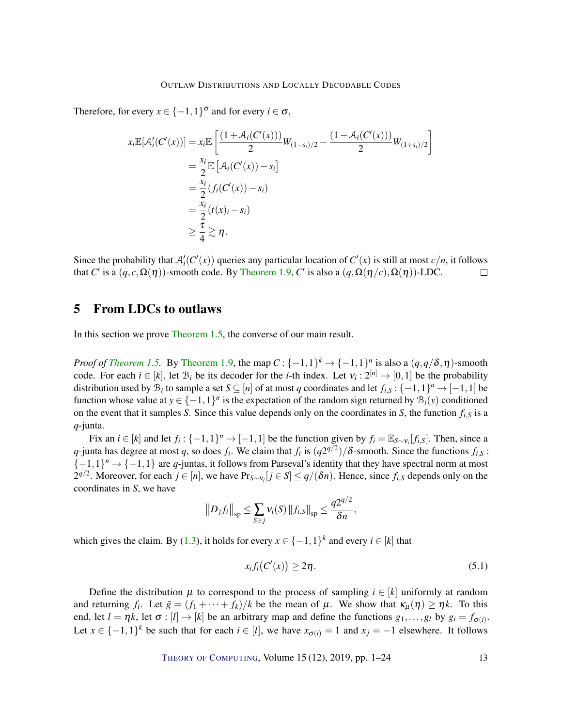Therefore, for every  $x \in \{-1,1\}^{\sigma}$  and for every  $i \in \sigma$ ,

$$
x_i \mathbb{E}[\mathcal{A}'_i(C'(x))] = x_i \mathbb{E}\left[\frac{(1+\mathcal{A}_i(C'(x)))}{2}W_{(1-s_i)/2} - \frac{(1-\mathcal{A}_i(C'(x)))}{2}W_{(1+s_i)/2}\right]
$$
  
\n
$$
= \frac{x_i}{2} \mathbb{E}\left[\mathcal{A}_i(C'(x)) - s_i\right]
$$
  
\n
$$
= \frac{x_i}{2}(f_i(C'(x)) - s_i)
$$
  
\n
$$
= \frac{x_i}{2}(t(x_i - s_i))
$$
  
\n
$$
\geq \frac{\tau}{4} \gtrsim \eta.
$$

Since the probability that  $A'_i(C'(x))$  queries any particular location of  $C'(x)$  is still at most  $c/n$ , it follows that *C'* is a  $(q, c, \Omega(\eta))$ -smooth code. By [Theorem](#page-6-0) [1.9,](#page-6-0) *C'* is also a  $(q, \Omega(\eta/c), \Omega(\eta))$ -LDC.  $\Box$ 

# <span id="page-12-0"></span>5 From LDCs to outlaws

In this section we prove [Theorem](#page-3-1) [1.5,](#page-3-1) the converse of our main result.

*Proof of [Theorem](#page-6-0) [1.5.](#page-3-1)* By Theorem [1.9,](#page-6-0) the map  $C: \{-1,1\}^k \to \{-1,1\}^n$  is also a  $(q,q/\delta,\eta)$ -smooth code. For each  $i \in [k]$ , let  $B_i$  be its decoder for the *i*-th index. Let  $v_i: 2^{[n]} \to [0,1]$  be the probability distribution used by  $\mathcal{B}_i$  to sample a set  $S \subseteq [n]$  of at most *q* coordinates and let  $f_{i,S}$  :  $\{-1,1\}^n \to [-1,1]$  be function whose value at  $y \in \{-1,1\}^n$  is the expectation of the random sign returned by  $\mathcal{B}_i(y)$  conditioned on the event that it samples *S*. Since this value depends only on the coordinates in *S*, the function *fi*,*<sup>S</sup>* is a *q*-junta.

Fix an  $i \in [k]$  and let  $f_i : \{-1,1\}^n \to [-1,1]$  be the function given by  $f_i = \mathbb{E}_{S \sim v_i}[f_{i,S}]$ . Then, since a *q*-junta has degree at most *q*, so does *f*<sub>*i*</sub>. We claim that *f*<sub>*i*</sub> is  $(q2^{q/2})/\delta$ -smooth. Since the functions *f*<sub>*i*</sub>,*s* :  $\{-1,1\}^n \rightarrow \{-1,1\}$  are *q*-juntas, it follows from Parseval's identity that they have spectral norm at most 2<sup>*q*/2</sup>. Moreover, for each *j* ∈ [*n*], we have Pr<sub>*S*∼ν<sub>*i*</sub></sub>[*j* ∈ *S*] ≤ *q*/(δ*n*). Hence, since *f<sub>i</sub>*,*s* depends only on the coordinates in *S*, we have

$$
||D_{j}f_{i}||_{\rm sp} \leq \sum_{S \ni j} v_{i}(S) ||f_{i,S}||_{\rm sp} \leq \frac{q2^{q/2}}{\delta n},
$$

which gives the claim. By [\(1.3\)](#page-6-2), it holds for every  $x \in \{-1,1\}^k$  and every  $i \in [k]$  that

<span id="page-12-1"></span>
$$
x_i f_i(C'(x)) \ge 2\eta. \tag{5.1}
$$

Define the distribution  $\mu$  to correspond to the process of sampling  $i \in [k]$  uniformly at random and returning  $f_i$ . Let  $\bar{g} = (f_1 + \cdots + f_k)/k$  be the mean of  $\mu$ . We show that  $\kappa_\mu(\eta) \geq \eta k$ . To this end, let  $l = \eta k$ , let  $\sigma : [l] \rightarrow [k]$  be an arbitrary map and define the functions  $g_1, \ldots, g_l$  by  $g_i = f_{\sigma(i)}$ . Let  $x \in \{-1,1\}^k$  be such that for each  $i \in [l]$ , we have  $x_{\sigma(i)} = 1$  and  $x_j = -1$  elsewhere. It follows

THEORY OF C[OMPUTING](http://dx.doi.org/10.4086/toc), Volume  $15(12)$ ,  $2019$ , pp.  $1-24$  13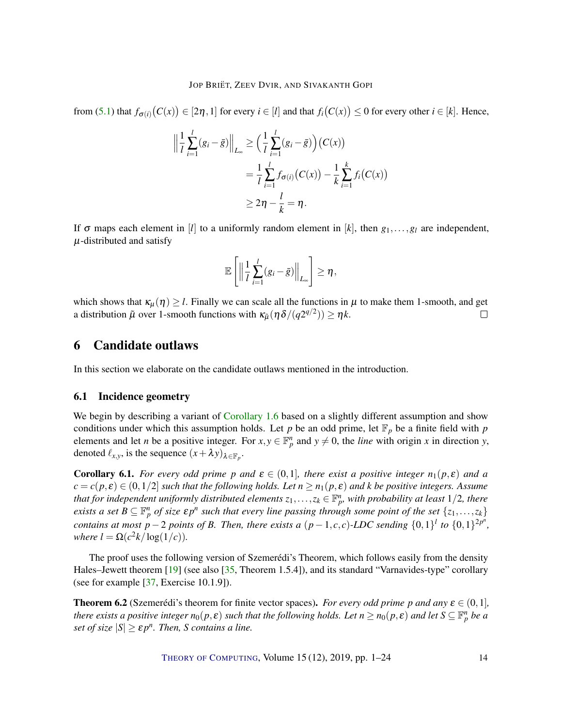<span id="page-13-4"></span>from [\(5.1\)](#page-12-1) that  $f_{\sigma(i)}(C(x)) \in [2\eta, 1]$  for every  $i \in [l]$  and that  $f_i(C(x)) \le 0$  for every other  $i \in [k]$ . Hence,

$$
\left\| \frac{1}{l} \sum_{i=1}^{l} (g_i - \bar{g}) \right\|_{L_{\infty}} \ge \left( \frac{1}{l} \sum_{i=1}^{l} (g_i - \bar{g}) \right) (C(x))
$$
  
=  $\frac{1}{l} \sum_{i=1}^{l} f_{\sigma(i)} (C(x)) - \frac{1}{k} \sum_{i=1}^{k} f_i (C(x))$   
 $\ge 2\eta - \frac{l}{k} = \eta.$ 

If  $\sigma$  maps each element in [*l*] to a uniformly random element in [*k*], then  $g_1, \ldots, g_l$  are independent,  $\mu$ -distributed and satisfy

$$
\mathbb{E}\left[\left\|\frac{1}{l}\sum_{i=1}^l(g_i-\bar{g})\right\|_{L_{\infty}}\right] \geq \eta,
$$

which shows that  $\kappa_{\mu}(\eta) \geq l$ . Finally we can scale all the functions in  $\mu$  to make them 1-smooth, and get a distribution  $\tilde{\mu}$  over 1-smooth functions with  $\kappa_{\tilde{\mu}}(\eta \delta/(q2^{q/2})) \geq \eta k$ .  $\Box$ 

# <span id="page-13-2"></span>6 Candidate outlaws

In this section we elaborate on the candidate outlaws mentioned in the introduction.

## <span id="page-13-0"></span>6.1 Incidence geometry

We begin by describing a variant of [Corollary](#page-4-1) [1.6](#page-4-1) based on a slightly different assumption and show conditions under which this assumption holds. Let  $p$  be an odd prime, let  $\mathbb{F}_p$  be a finite field with  $p$ elements and let *n* be a positive integer. For  $x, y \in \mathbb{F}_p^n$  and  $y \neq 0$ , the *line* with origin *x* in direction *y*, denoted  $\ell_{x,y}$ , is the sequence  $(x + \lambda y)_{\lambda \in \mathbb{F}_p}$ .

<span id="page-13-3"></span>**Corollary 6.1.** *For every odd prime p and*  $\varepsilon \in (0,1]$ *, there exist a positive integer*  $n_1(p,\varepsilon)$  *and a*  $c = c(p, \varepsilon) \in (0, 1/2]$  *such that the following holds. Let*  $n \geq n_1(p, \varepsilon)$  *and k be positive integers. Assume* that for independent uniformly distributed elements  $z_1,\ldots,z_k\in\mathbb{F}_p^n$ , with probability at least  $1/2$ , there *exists a set*  $B \subseteq \mathbb{F}_p^n$  *of size*  $\epsilon p^n$  *such that every line passing through some point of the set*  $\{z_1, \ldots, z_k\}$ *contains at most*  $p-2$  *points of B. Then, there exists a*  $(p-1, c, c)$ -LDC sending  $\{0, 1\}^l$  to  $\{0, 1\}^{2p^n}$ , *where*  $l = \Omega(c^2k/\log(1/c))$ *.* 

The proof uses the following version of Szemerédi's Theorem, which follows easily from the density Hales–Jewett theorem [\[19\]](#page-20-9) (see also [\[35,](#page-21-10) Theorem 1.5.4]), and its standard "Varnavides-type" corollary (see for example [\[37,](#page-21-11) Exercise 10.1.9]).

<span id="page-13-1"></span>**Theorem 6.2** (Szemerédi's theorem for finite vector spaces). *For every odd prime p and any*  $\varepsilon \in (0,1]$ , *there exists a positive integer*  $n_0(p,\epsilon)$  *such that the following holds. Let*  $n \ge n_0(p,\epsilon)$  and let  $S \subseteq \mathbb{F}_p^n$  be a *set of size*  $|S| \geq \varepsilon p^n$ . *Then, S contains a line.*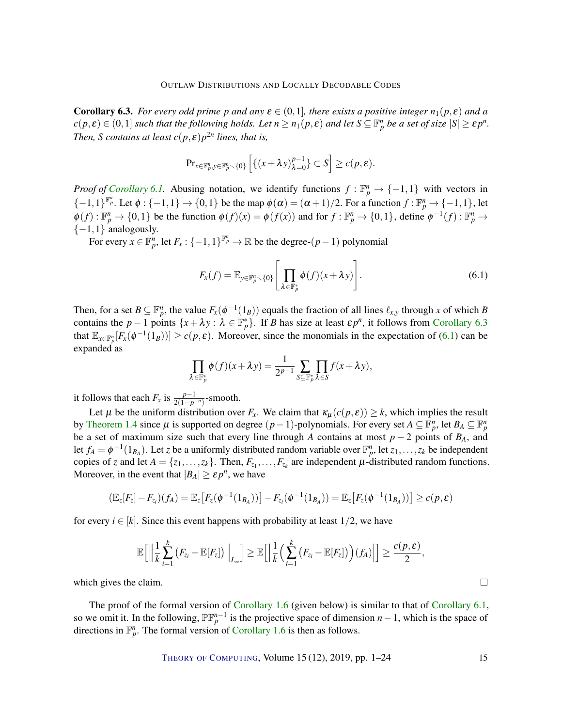<span id="page-14-0"></span>**Corollary 6.3.** *For every odd prime p and any*  $\varepsilon \in (0,1]$ *, there exists a positive integer*  $n_1(p,\varepsilon)$  *and a*  $c(p, \varepsilon) \in (0, 1]$  *such that the following holds. Let*  $n \ge n_1(p, \varepsilon)$  *and let*  $S \subseteq \mathbb{F}_p^n$  *be a set of size*  $|S| \ge \varepsilon p^n$ *. Then, S contains at least*  $c(p, \varepsilon)p^{2n}$  *lines, that is,* 

$$
\mathrm{Pr}_{x \in \mathbb{F}_p^n, y \in \mathbb{F}_p^n \setminus \{0\}} \left[ \{ (x + \lambda y)_{\lambda=0}^{p-1} \} \subset S \right] \geq c(p, \varepsilon).
$$

*Proof of [Corollary](#page-13-3) [6.1.](#page-13-3)* Abusing notation, we identify functions  $f: \mathbb{F}_p^n \to \{-1,1\}$  with vectors in  $\{-1,1\}^{\mathbb{F}_p^n}$ . Let  $\phi: \{-1,1\} \to \{0,1\}$  be the map  $\phi(\alpha) = (\alpha+1)/2$ . For a function  $f: \mathbb{F}_p^n \to \{-1,1\}$ , let  $\phi(f): \mathbb{F}_p^n \to \{0,1\}$  be the function  $\phi(f)(x) = \phi(f(x))$  and for  $f: \mathbb{F}_p^n \to \{0,1\}$ , define  $\phi^{-1}(f): \mathbb{F}_p^n \to$  ${-1,1}$  analogously.

For every  $x \in \mathbb{F}_p^n$ , let  $F_x: \{-1,1\}^{\mathbb{F}_p^n} \to \mathbb{R}$  be the degree- $(p-1)$  polynomial

<span id="page-14-1"></span>
$$
F_x(f) = \mathbb{E}_{y \in \mathbb{F}_p^n \setminus \{0\}} \left[ \prod_{\lambda \in \mathbb{F}_p^*} \phi(f)(x + \lambda y) \right]. \tag{6.1}
$$

Then, for a set  $B \subseteq \mathbb{F}_p^n$ , the value  $F_x(\phi^{-1}(1_B))$  equals the fraction of all lines  $\ell_{x,y}$  through *x* of which *B* contains the *p* − 1 points  $\{x + \lambda y : \lambda \in \mathbb{F}_p^*\}$ . If *B* has size at least  $\epsilon p^n$ , it follows from [Corollary](#page-14-0) [6.3](#page-14-0) that  $\mathbb{E}_{x \in \mathbb{F}_p^n}[F_x(\phi^{-1}(1_B))] \ge c(p, \varepsilon)$ . Moreover, since the monomials in the expectation of [\(6.1\)](#page-14-1) can be expanded as

$$
\prod_{\lambda \in \mathbb{F}_p^*} \phi(f)(x + \lambda y) = \frac{1}{2^{p-1}} \sum_{S \subseteq \mathbb{F}_p^*} \prod_{\lambda \in S} f(x + \lambda y),
$$

it follows that each  $F_x$  is  $\frac{p-1}{2(1-p^{-n})}$ -smooth.

Let  $\mu$  be the uniform distribution over  $F_x$ . We claim that  $\kappa_\mu(c(p, \varepsilon)) \geq k$ , which implies the result by [Theorem](#page-3-0) [1.4](#page-3-0) since  $\mu$  is supported on degree  $(p-1)$ -polynomials. For every set  $A \subseteq \mathbb{F}_p^n$ , let  $B_A \subseteq \mathbb{F}_p^n$ be a set of maximum size such that every line through *A* contains at most *p* − 2 points of *BA*, and let  $f_A = \phi^{-1}(1_{B_A})$ . Let *z* be a uniformly distributed random variable over  $\mathbb{F}_p^n$ , let  $z_1, \ldots, z_k$  be independent copies of *z* and let  $A = \{z_1, \ldots, z_k\}$ . Then,  $F_{z_1}, \ldots, F_{z_k}$  are independent  $\mu$ -distributed random functions. Moreover, in the event that  $|B_A| \geq \varepsilon p^n$ , we have

$$
(\mathbb{E}_z[F_z] - F_{z_i})(f_A) = \mathbb{E}_z[F_z(\phi^{-1}(1_{B_A}))] - F_{z_i}(\phi^{-1}(1_{B_A})) = \mathbb{E}_z[F_z(\phi^{-1}(1_{B_A}))] \ge c(p, \varepsilon)
$$

for every  $i \in [k]$ . Since this event happens with probability at least  $1/2$ , we have

$$
\mathbb{E}\Big[\Big\|\frac{1}{k}\sum_{i=1}^k \big(F_{z_i}-\mathbb{E}[F_z]\big)\Big\|_{L_{\infty}}\Big]\geq \mathbb{E}\Big[\Big|\frac{1}{k}\Big(\sum_{i=1}^k \big(F_{z_i}-\mathbb{E}[F_z]\big)\Big)(f_A)\Big|\Big]\geq \frac{c(p,\epsilon)}{2},
$$

which gives the claim.

The proof of the formal version of [Corollary](#page-4-1) [1.6](#page-4-1) (given below) is similar to that of [Corollary](#page-13-3) [6.1,](#page-13-3) so we omit it. In the following,  $\mathbb{PF}_{p}^{n-1}$  is the projective space of dimension *n* − 1, which is the space of directions in  $\mathbb{F}_p^n$ . The formal version of [Corollary](#page-4-1) [1.6](#page-4-1) is then as follows.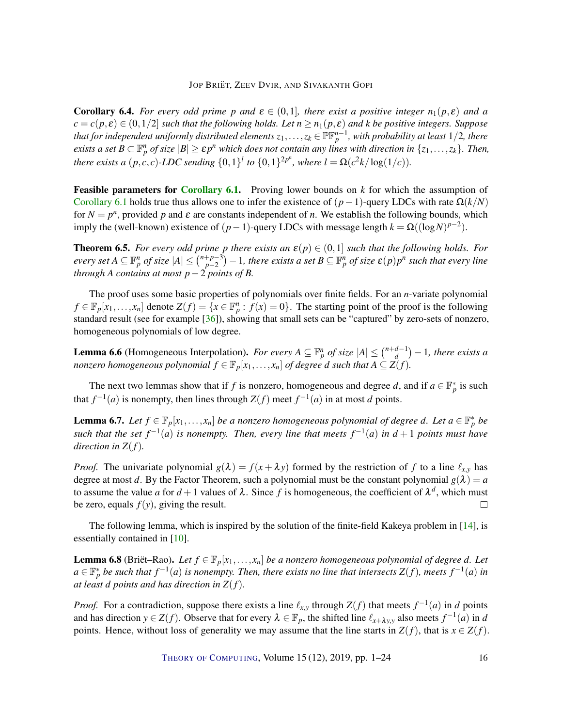<span id="page-15-4"></span>**Corollary 6.4.** *For every odd prime p and*  $\varepsilon \in (0,1]$ *, there exist a positive integer*  $n_1(p,\varepsilon)$  *and a*  $c = c(p, \varepsilon) \in (0, 1/2]$  *such that the following holds. Let*  $n \ge n_1(p, \varepsilon)$  *and k be positive integers. Suppose* that for independent uniformly distributed elements  $z_1,\ldots,z_k\in\mathbb{PF}_p^{n-1}$ , with probability at least  $1/2$ , there *exists a set*  $B \subset \mathbb{F}_p^n$  *of size*  $|B| \geq \varepsilon p^n$  *which does not contain any lines with direction in*  $\{z_1,\ldots,z_k\}$ *. Then, there exists a*  $(p, c, c)$ *-LDC sending*  $\{0, 1\}$ <sup>*l*</sup> *to*  $\{0, 1\}$ <sup>2*p*<sup>*n*</sup>, where  $l = \Omega(c^2k/\log(1/c))$ *.*</sup>

Feasible parameters for [Corollary](#page-13-3) [6.1.](#page-13-3) Proving lower bounds on *k* for which the assumption of [Corollary](#page-13-3) [6.1](#page-13-3) holds true thus allows one to infer the existence of  $(p-1)$ -query LDCs with rate  $\Omega(k/N)$ for  $N = p^n$ , provided p and  $\varepsilon$  are constants independent of *n*. We establish the following bounds, which imply the (well-known) existence of  $(p-1)$ -query LDCs with message length  $k = \Omega((\log N)^{p-2})$ .

<span id="page-15-0"></span>**Theorem 6.5.** *For every odd prime p there exists an*  $\varepsilon(p) \in (0,1]$  *such that the following holds. For every set*  $A \subseteq \mathbb{F}_p^n$  *of size*  $|A| \leq {n+p-3 \choose p-2}$ *p*−2 −1*, there exists a set B* ⊆ F *n <sup>p</sup> of size* ε(*p*)*p n such that every line through A contains at most p*−2 *points of B.*

The proof uses some basic properties of polynomials over finite fields. For an *n*-variate polynomial  $f \in \mathbb{F}_p[x_1,\ldots,x_n]$  denote  $Z(f) = \{x \in \mathbb{F}_p^n : f(x) = 0\}$ . The starting point of the proof is the following standard result (see for example [\[36\]](#page-21-12)), showing that small sets can be "captured" by zero-sets of nonzero, homogeneous polynomials of low degree.

<span id="page-15-1"></span>**Lemma 6.6** (Homogeneous Interpolation). *For every*  $A \subseteq \mathbb{F}_p^n$  *of size*  $|A| \leq {n+d-1 \choose d}$ *d*<sup>-1</sup>) − 1, there exists a *nonzero homogeneous polynomial*  $f \in \mathbb{F}_p[x_1,\ldots,x_n]$  *of degree*  $d$  *such that*  $A \subseteq \ddot{\mathsf{Z}}(f)$ *.* 

The next two lemmas show that if *f* is nonzero, homogeneous and degree *d*, and if  $a \in \mathbb{F}_p^*$  is such that  $f^{-1}(a)$  is nonempty, then lines through  $Z(f)$  meet  $f^{-1}(a)$  in at most *d* points.

<span id="page-15-2"></span>**Lemma 6.7.** Let  $f \in \mathbb{F}_p[x_1,\ldots,x_n]$  be a nonzero homogeneous polynomial of degree d. Let  $a \in \mathbb{F}_p^*$  be such that the set  $f^{-1}(a)$  is nonempty. Then, every line that meets  $f^{-1}(a)$  in  $d+1$  points must have *direction in Z*(*f*)*.*

*Proof.* The univariate polynomial  $g(\lambda) = f(x + \lambda y)$  formed by the restriction of f to a line  $\ell_{x,y}$  has degree at most *d*. By the Factor Theorem, such a polynomial must be the constant polynomial  $g(\lambda) = a$ to assume the value *a* for  $d+1$  values of  $\lambda$ . Since *f* is homogeneous, the coefficient of  $\lambda^d$ , which must be zero, equals  $f(y)$ , giving the result.  $\Box$ 

The following lemma, which is inspired by the solution of the finite-field Kakeya problem in [\[14\]](#page-20-10), is essentially contained in [\[10\]](#page-19-9).

<span id="page-15-3"></span>**Lemma 6.8** (Briët–Rao). Let  $f \in \mathbb{F}_p[x_1,\ldots,x_n]$  be a nonzero homogeneous polynomial of degree d. Let  $a \in \mathbb{F}_p^*$  be such that  $f^{-1}(a)$  is nonempty. Then, there exists no line that intersects  $Z(f)$ , meets  $f^{-1}(a)$  in *at least d points and has direction in Z*(*f*)*.*

*Proof.* For a contradiction, suppose there exists a line  $\ell_{x,y}$  through  $Z(f)$  that meets  $f^{-1}(a)$  in *d* points and has direction  $y \in Z(f)$ . Observe that for every  $\lambda \in \mathbb{F}_p$ , the shifted line  $\ell_{x+\lambda y,y}$  also meets  $f^{-1}(a)$  in *d* points. Hence, without loss of generality we may assume that the line starts in  $Z(f)$ , that is  $x \in Z(f)$ .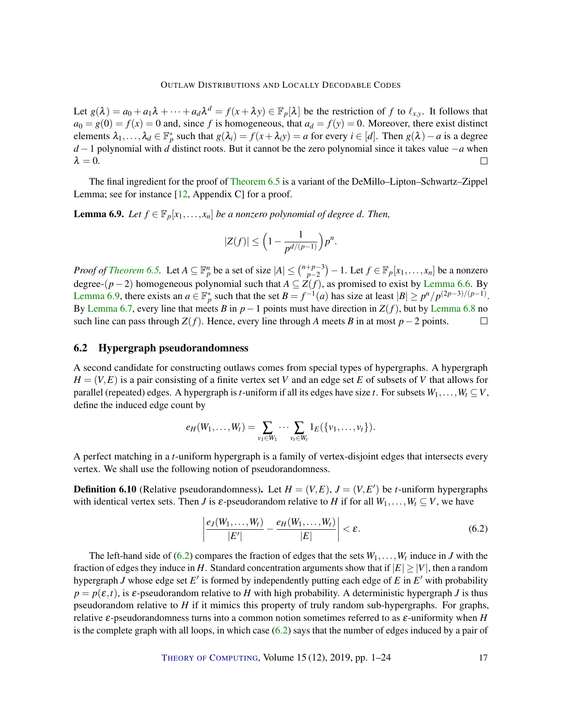### OUTLAW DISTRIBUTIONS AND LOCALLY DECODABLE CODES

<span id="page-16-3"></span>Let  $g(\lambda) = a_0 + a_1\lambda + \cdots + a_d\lambda^d = f(x + \lambda y) \in \mathbb{F}_p[\lambda]$  be the restriction of *f* to  $\ell_{x,y}$ . It follows that  $a_0 = g(0) = f(x) = 0$  and, since *f* is homogeneous, that  $a_d = f(y) = 0$ . Moreover, there exist distinct elements  $\lambda_1, \ldots, \lambda_d \in \mathbb{F}_p^*$  such that  $g(\lambda_i) = f(x + \lambda_i y) = a$  for every  $i \in [d]$ . Then  $g(\lambda) - a$  is a degree *d* − 1 polynomial with *d* distinct roots. But it cannot be the zero polynomial since it takes value −*a* when  $\lambda = 0$ .  $\Box$ 

The final ingredient for the proof of [Theorem](#page-15-0) [6.5](#page-15-0) is a variant of the DeMillo–Lipton–Schwartz–Zippel Lemma; see for instance [\[12,](#page-19-10) Appendix C] for a proof.

<span id="page-16-1"></span>**Lemma 6.9.** *Let*  $f \in \mathbb{F}_p[x_1,\ldots,x_n]$  *be a nonzero polynomial of degree d. Then,* 

$$
|Z(f)| \le \Big(1-\frac{1}{p^{d/(p-1)}}\Big)p^n.
$$

*Proof of [Theorem](#page-15-0) [6.5.](#page-15-0)* Let  $A \subseteq \mathbb{F}_p^n$  be a set of size  $|A| \leq {n+p-3 \choose p-2}$ *p*<sup>−2</sup> *p*<sup>−2</sup> *p*<sup>1</sup> *Let f* ∈  $\mathbb{F}_p[x_1, \ldots, x_n]$  be a nonzero degree-(*p*−2) homogeneous polynomial such that *A* ⊆ *Z*(*f*), as promised to exist by [Lemma](#page-15-1) [6.6.](#page-15-1) By [Lemma](#page-16-1) [6.9,](#page-16-1) there exists an  $a \in \mathbb{F}_p^*$  such that the set  $B = f^{-1}(a)$  has size at least  $|B| \ge p^n/p^{(2p-3)/(p-1)}$ . By [Lemma](#page-15-3) [6.7,](#page-15-2) every line that meets *B* in  $p-1$  points must have direction in  $Z(f)$ , but by Lemma [6.8](#page-15-3) no such line can pass through  $Z(f)$ . Hence, every line through *A* meets *B* in at most  $p-2$  points.  $\Box$ 

## <span id="page-16-0"></span>6.2 Hypergraph pseudorandomness

A second candidate for constructing outlaws comes from special types of hypergraphs. A hypergraph  $H = (V, E)$  is a pair consisting of a finite vertex set *V* and an edge set *E* of subsets of *V* that allows for parallel (repeated) edges. A hypergraph is *t*-uniform if all its edges have size *t*. For subsets  $W_1, \ldots, W_t \subseteq V$ , define the induced edge count by

$$
e_H(W_1,...,W_t) = \sum_{v_1 \in W_1} \cdots \sum_{v_t \in W_t} 1_E(\{v_1,...,v_t\}).
$$

A perfect matching in a *t*-uniform hypergraph is a family of vertex-disjoint edges that intersects every vertex. We shall use the following notion of pseudorandomness.

**Definition 6.10** (Relative pseudorandomness). Let  $H = (V, E)$ ,  $J = (V, E')$  be *t*-uniform hypergraphs with identical vertex sets. Then *J* is  $\varepsilon$ -pseudorandom relative to *H* if for all  $W_1, \ldots, W_t \subseteq V$ , we have

<span id="page-16-2"></span>
$$
\left|\frac{e_J(W_1,\ldots,W_t)}{|E'|}-\frac{e_H(W_1,\ldots,W_t)}{|E|}\right|<\varepsilon.\tag{6.2}
$$

The left-hand side of  $(6.2)$  compares the fraction of edges that the sets  $W_1, \ldots, W_t$  induce in *J* with the fraction of edges they induce in *H*. Standard concentration arguments show that if  $|E| \ge |V|$ , then a random hypergraph *J* whose edge set  $E'$  is formed by independently putting each edge of  $E$  in  $E'$  with probability  $p = p(\varepsilon, t)$ , is  $\varepsilon$ -pseudorandom relative to *H* with high probability. A deterministic hypergraph *J* is thus pseudorandom relative to *H* if it mimics this property of truly random sub-hypergraphs. For graphs, relative ε-pseudorandomness turns into a common notion sometimes referred to as ε-uniformity when *H* is the complete graph with all loops, in which case  $(6.2)$  says that the number of edges induced by a pair of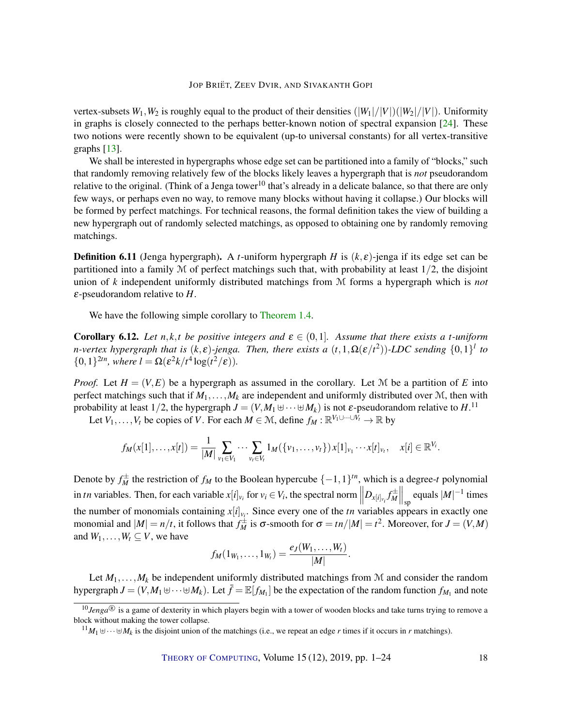<span id="page-17-1"></span>vertex-subsets  $W_1, W_2$  is roughly equal to the product of their densities  $(|W_1|/|V|)(|W_2|/|V|)$ . Uniformity in graphs is closely connected to the perhaps better-known notion of spectral expansion [\[24\]](#page-20-11). These two notions were recently shown to be equivalent (up-to universal constants) for all vertex-transitive graphs [\[13\]](#page-20-12).

We shall be interested in hypergraphs whose edge set can be partitioned into a family of "blocks," such that randomly removing relatively few of the blocks likely leaves a hypergraph that is *not* pseudorandom relative to the original. (Think of a Jenga tower<sup>10</sup> that's already in a delicate balance, so that there are only few ways, or perhaps even no way, to remove many blocks without having it collapse.) Our blocks will be formed by perfect matchings. For technical reasons, the formal definition takes the view of building a new hypergraph out of randomly selected matchings, as opposed to obtaining one by randomly removing matchings.

**Definition 6.11** (Jenga hypergraph). A *t*-uniform hypergraph *H* is  $(k, \varepsilon)$ -jenga if its edge set can be partitioned into a family  $M$  of perfect matchings such that, with probability at least  $1/2$ , the disjoint union of *k* independent uniformly distributed matchings from M forms a hypergraph which is *not* ε-pseudorandom relative to *H*.

We have the following simple corollary to [Theorem](#page-3-0) [1.4.](#page-3-0)

<span id="page-17-0"></span>**Corollary 6.12.** Let  $n, k, t$  be positive integers and  $\epsilon \in (0, 1]$ . Assume that there exists a *t*-uniform *n*-vertex hypergraph that is  $(k, \varepsilon)$ -jenga. Then, there exists a  $(t, 1, \Omega(\varepsilon/t^2))$ -LDC sending  $\{0,1\}^l$  to { $0, 1$ }<sup>2*tn*</sup>*, where*  $l = \Omega(\varepsilon^2 k / t^4 \log(t^2 / \varepsilon)).$ 

*Proof.* Let  $H = (V, E)$  be a hypergraph as assumed in the corollary. Let M be a partition of *E* into perfect matchings such that if  $M_1, \ldots, M_k$  are independent and uniformly distributed over  $\mathcal{M}$ , then with probability at least 1/2, the hypergraph  $J = (V, M_1 \uplus \cdots \uplus M_k)$  is not  $\varepsilon$ -pseudorandom relative to  $H.^{11}$ 

Let  $V_1, \ldots, V_t$  be copies of *V*. For each  $M \in \mathcal{M}$ , define  $f_M : \mathbb{R}^{V_1 \cup \cdots \cup V_t} \to \mathbb{R}$  by

$$
f_M(x[1],...,x[t]) = \frac{1}{|M|} \sum_{v_1 \in V_1} \cdots \sum_{v_t \in V_t} 1_M(\{v_1,...,v_t\}) x[1]_{v_1} \cdots x[t]_{v_t}, \quad x[i] \in \mathbb{R}^{V_i}.
$$

Denote by  $f_M^{\pm}$  the restriction of  $f_M$  to the Boolean hypercube  $\{-1,1\}^{tn}$ , which is a degree-*t* polynomial in tn variables. Then, for each variable  $x[i]_{v_i}$  for  $v_i \in V_i$ , the spectral norm  $||D_{x[i]_{v_i}} f_M^{\pm}||_{sp}$  equals  $|M|^{-1}$  times the number of monomials containing  $x[i]_{v_i}$ . Since every one of the *tn* variables appears in exactly one monomial and  $|M| = n/t$ , it follows that  $f_M^{\pm}$  is  $\sigma$ -smooth for  $\sigma = tn/|M| = t^2$ . Moreover, for  $J = (V, M)$ and  $W_1, \ldots, W_t \subseteq V$ , we have

$$
f_M(1_{W_1},...,1_{W_t})=\frac{e_J(W_1,...,W_t)}{|M|}.
$$

Let  $M_1, \ldots, M_k$  be independent uniformly distributed matchings from M and consider the random hypergraph  $J = (V, M_1 \oplus \cdots \oplus M_k)$ . Let  $\bar{f} = \mathbb{E}[f_{M_1}]$  be the expectation of the random function  $f_{M_1}$  and note

THEORY OF C[OMPUTING](http://dx.doi.org/10.4086/toc), Volume 15 (12), 2019, pp. 1–24 18

<sup>&</sup>lt;sup>10</sup>Jenga<sup>®</sup> is a game of dexterity in which players begin with a tower of wooden blocks and take turns trying to remove a block without making the tower collapse.

 $^{11}M_1 \cup \cdots \cup M_k$  is the disjoint union of the matchings (i.e., we repeat an edge *r* times if it occurs in *r* matchings).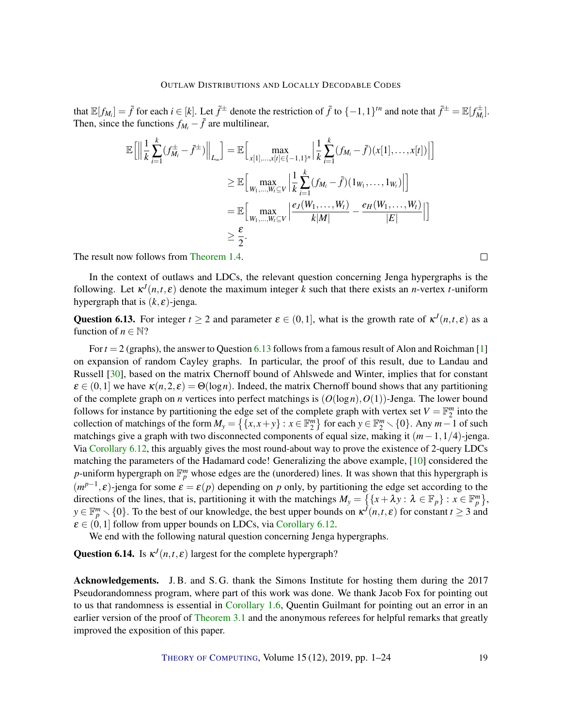<span id="page-18-1"></span>that  $\mathbb{E}[f_{M_i}] = \bar{f}$  for each  $i \in [k]$ . Let  $\bar{f}^{\pm}$  denote the restriction of  $\bar{f}$  to  $\{-1,1\}$ <sup>tn</sup> and note that  $\bar{f}^{\pm} = \mathbb{E}[f_{M_i}^{\pm}]$ . Then, since the functions  $f_{M_i} - \bar{f}$  are multilinear,

$$
\mathbb{E}\Big[\Big\|\frac{1}{k}\sum_{i=1}^{k}(f_{M_{i}}^{\pm}-\bar{f}^{\pm})\Big\|_{L_{\infty}}\Big]=\mathbb{E}\Big[\max_{x[1],...,x[r]\in\{-1,1\}^{n}}\Big|\frac{1}{k}\sum_{i=1}^{k}(f_{M_{i}}-\bar{f})(x[1],...,x[r])\Big|\Big]
$$
  
\n
$$
\geq \mathbb{E}\Big[\max_{W_{1},...,W_{i}\subseteq V}\Big|\frac{1}{k}\sum_{i=1}^{k}(f_{M_{i}}-\bar{f})(1_{W_{1}},...,1_{W_{i}})\Big|\Big]
$$
  
\n
$$
=\mathbb{E}\Big[\max_{W_{1},...,W_{i}\subseteq V}\Big|\frac{e_{J}(W_{1},...,W_{t})}{k|M|}-\frac{e_{H}(W_{1},...,W_{t})}{|E|}\Big|\Big]
$$
  
\n
$$
\geq \frac{\varepsilon}{2}.
$$

The result now follows from [Theorem](#page-3-0) [1.4.](#page-3-0)

In the context of outlaws and LDCs, the relevant question concerning Jenga hypergraphs is the following. Let  $\kappa^{J}(n,t,\varepsilon)$  denote the maximum integer *k* such that there exists an *n*-vertex *t*-uniform hypergraph that is  $(k, \varepsilon)$ -jenga.

<span id="page-18-0"></span>Question 6.13. For integer  $t \ge 2$  and parameter  $\varepsilon \in (0,1]$ , what is the growth rate of  $\kappa^{J}(n,t,\varepsilon)$  as a function of  $n \in \mathbb{N}$ ?

For *t* = 2 (graphs), the answer to Question [6.13](#page-18-0) follows from a famous result of Alon and Roichman [\[1\]](#page-19-11) on expansion of random Cayley graphs. In particular, the proof of this result, due to Landau and Russell [\[30\]](#page-21-13), based on the matrix Chernoff bound of Ahlswede and Winter, implies that for constant  $\epsilon \in (0,1]$  we have  $\kappa(n,2,\epsilon) = \Theta(\log n)$ . Indeed, the matrix Chernoff bound shows that any partitioning of the complete graph on *n* vertices into perfect matchings is  $(O(\log n), O(1))$ -Jenga. The lower bound follows for instance by partitioning the edge set of the complete graph with vertex set  $V = \mathbb{F}_2^m$  into the collection of matchings of the form  $M_y = \{ \{x, x + y\} : x \in \mathbb{F}_2^m \}$  for each  $y \in \mathbb{F}_2^m \setminus \{0\}$ . Any  $m-1$  of such matchings give a graph with two disconnected components of equal size, making it (*m*−1,1/4)-jenga. Via [Corollary](#page-17-0) [6.12,](#page-17-0) this arguably gives the most round-about way to prove the existence of 2-query LDCs matching the parameters of the Hadamard code! Generalizing the above example, [\[10\]](#page-19-9) considered the *p*-uniform hypergraph on  $\mathbb{F}_p^m$  whose edges are the (unordered) lines. It was shown that this hypergraph is  $(m^{p-1}, \varepsilon)$ -jenga for some  $\varepsilon = \varepsilon(p)$  depending on *p* only, by partitioning the edge set according to the directions of the lines, that is, partitioning it with the matchings  $M_y = \{ \{x + \lambda y : \lambda \in \mathbb{F}_p\} : x \in \mathbb{F}_p^m \},$  $y \in \mathbb{F}_p^m \setminus \{0\}$ . To the best of our knowledge, the best upper bounds on  $\kappa^{j}(n,t,\varepsilon)$  for constant  $t \geq 3$  and  $\varepsilon \in (0,1]$  follow from upper bounds on LDCs, via [Corollary](#page-17-0) [6.12.](#page-17-0)

We end with the following natural question concerning Jenga hypergraphs.

**Question 6.14.** Is  $\kappa^{J}(n,t,\varepsilon)$  largest for the complete hypergraph?

Acknowledgements. J. B. and S. G. thank the Simons Institute for hosting them during the 2017 Pseudorandomness program, where part of this work was done. We thank Jacob Fox for pointing out to us that randomness is essential in [Corollary](#page-4-1) [1.6,](#page-4-1) Quentin Guilmant for pointing out an error in an earlier version of the proof of [Theorem](#page-8-0) [3.1](#page-8-0) and the anonymous referees for helpful remarks that greatly improved the exposition of this paper.

THEORY OF C[OMPUTING](http://dx.doi.org/10.4086/toc), Volume 15 (12), 2019, pp. 1–24 19

 $\Box$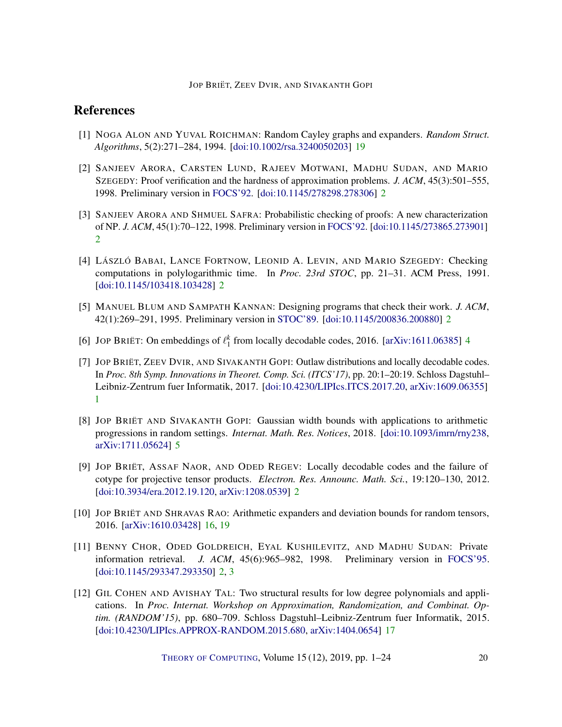# References

- <span id="page-19-11"></span>[1] NOGA ALON AND YUVAL ROICHMAN: Random Cayley graphs and expanders. *Random Struct. Algorithms*, 5(2):271–284, 1994. [\[doi:10.1002/rsa.3240050203\]](http://dx.doi.org/10.1002/rsa.3240050203) [19](#page-18-1)
- <span id="page-19-4"></span>[2] SANJEEV ARORA, CARSTEN LUND, RAJEEV MOTWANI, MADHU SUDAN, AND MARIO SZEGEDY: Proof verification and the hardness of approximation problems. *J. ACM*, 45(3):501–555, 1998. Preliminary version in [FOCS'92.](https://ieeexplore.ieee.org/document/267823) [\[doi:10.1145/278298.278306\]](http://dx.doi.org/10.1145/278298.278306) [2](#page-1-0)
- <span id="page-19-3"></span>[3] SANJEEV ARORA AND SHMUEL SAFRA: Probabilistic checking of proofs: A new characterization of NP. *J. ACM*, 45(1):70–122, 1998. Preliminary version in [FOCS'92.](https://ieeexplore.ieee.org/document/267824) [\[doi:10.1145/273865.273901\]](http://dx.doi.org/10.1145/273865.273901) [2](#page-1-0)
- <span id="page-19-1"></span>[4] LÁSZLÓ BABAI, LANCE FORTNOW, LEONID A. LEVIN, AND MARIO SZEGEDY: Checking computations in polylogarithmic time. In *Proc. 23rd STOC*, pp. 21–31. ACM Press, 1991. [\[doi:10.1145/103418.103428\]](http://dx.doi.org/10.1145/103418.103428) [2](#page-1-0)
- <span id="page-19-2"></span>[5] MANUEL BLUM AND SAMPATH KANNAN: Designing programs that check their work. *J. ACM*, 42(1):269–291, 1995. Preliminary version in [STOC'89.](https://doi.org/10.1145/73007.73015) [\[doi:10.1145/200836.200880\]](http://dx.doi.org/10.1145/200836.200880) [2](#page-1-0)
- <span id="page-19-7"></span>[6] JOP BRIËT: On embeddings of  $\ell_1^k$  from locally decodable codes, 2016. [\[arXiv:1611.06385\]](http://arxiv.org/abs/1611.06385) [4](#page-3-3)
- <span id="page-19-0"></span>[7] JOP BRIËT, ZEEV DVIR, AND SIVAKANTH GOPI: Outlaw distributions and locally decodable codes. In *Proc. 8th Symp. Innovations in Theoret. Comp. Sci. (ITCS'17)*, pp. 20:1–20:19. Schloss Dagstuhl– Leibniz-Zentrum fuer Informatik, 2017. [\[doi:10.4230/LIPIcs.ITCS.2017.20,](http://dx.doi.org/10.4230/LIPIcs.ITCS.2017.20) [arXiv:1609.06355\]](http://arxiv.org/abs/1609.06355) [1](#page-0-0)
- <span id="page-19-8"></span>[8] JOP BRIËT AND SIVAKANTH GOPI: Gaussian width bounds with applications to arithmetic progressions in random settings. *Internat. Math. Res. Notices*, 2018. [\[doi:10.1093/imrn/rny238,](http://dx.doi.org/10.1093/imrn/rny238) [arXiv:1711.05624\]](http://arxiv.org/abs/1711.05624) [5](#page-4-2)
- <span id="page-19-6"></span>[9] JOP BRIËT, ASSAF NAOR, AND ODED REGEV: Locally decodable codes and the failure of cotype for projective tensor products. *Electron. Res. Announc. Math. Sci.*, 19:120–130, 2012. [\[doi:10.3934/era.2012.19.120,](http://dx.doi.org/10.3934/era.2012.19.120) [arXiv:1208.0539\]](http://arxiv.org/abs/1208.0539) [2](#page-1-0)
- <span id="page-19-9"></span>[10] JOP BRIËT AND SHRAVAS RAO: Arithmetic expanders and deviation bounds for random tensors, 2016. [\[arXiv:1610.03428\]](http://arxiv.org/abs/1610.03428) [16,](#page-15-4) [19](#page-18-1)
- <span id="page-19-5"></span>[11] BENNY CHOR, ODED GOLDREICH, EYAL KUSHILEVITZ, AND MADHU SUDAN: Private information retrieval. *J. ACM*, 45(6):965–982, 1998. Preliminary version in [FOCS'95.](https://doi.org/10.1109/SFCS.1995.492461) [\[doi:10.1145/293347.293350\]](http://dx.doi.org/10.1145/293347.293350) [2,](#page-1-0) [3](#page-2-0)
- <span id="page-19-10"></span>[12] GIL COHEN AND AVISHAY TAL: Two structural results for low degree polynomials and applications. In *Proc. Internat. Workshop on Approximation, Randomization, and Combinat. Optim. (RANDOM'15)*, pp. 680–709. Schloss Dagstuhl–Leibniz-Zentrum fuer Informatik, 2015. [\[doi:10.4230/LIPIcs.APPROX-RANDOM.2015.680,](http://dx.doi.org/10.4230/LIPIcs.APPROX-RANDOM.2015.680) [arXiv:1404.0654\]](http://arxiv.org/abs/1404.0654) [17](#page-16-3)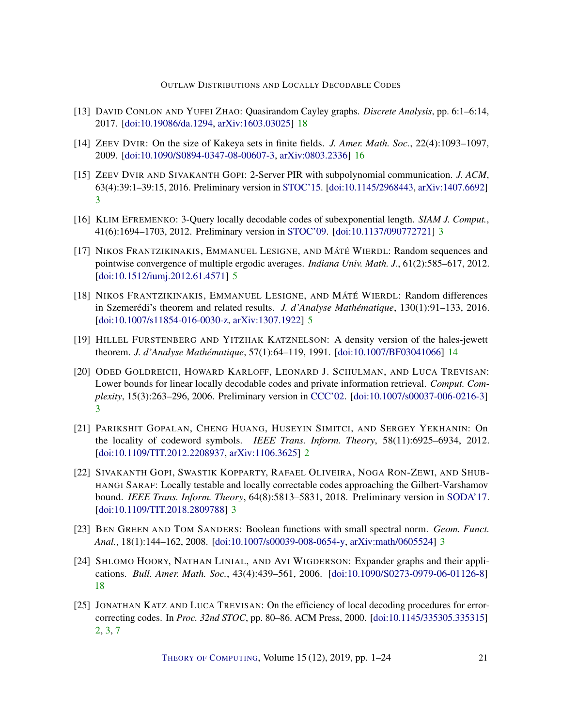## OUTLAW DISTRIBUTIONS AND LOCALLY DECODABLE CODES

- <span id="page-20-12"></span>[13] DAVID CONLON AND YUFEI ZHAO: Quasirandom Cayley graphs. *Discrete Analysis*, pp. 6:1–6:14, 2017. [\[doi:10.19086/da.1294,](http://dx.doi.org/10.19086/da.1294) [arXiv:1603.03025\]](http://arxiv.org/abs/1603.03025) [18](#page-17-1)
- <span id="page-20-10"></span>[14] ZEEV DVIR: On the size of Kakeya sets in finite fields. *J. Amer. Math. Soc.*, 22(4):1093–1097, 2009. [\[doi:10.1090/S0894-0347-08-00607-3,](http://dx.doi.org/10.1090/S0894-0347-08-00607-3) [arXiv:0803.2336\]](http://arxiv.org/abs/0803.2336) [16](#page-15-4)
- <span id="page-20-4"></span>[15] ZEEV DVIR AND SIVAKANTH GOPI: 2-Server PIR with subpolynomial communication. *J. ACM*, 63(4):39:1–39:15, 2016. Preliminary version in [STOC'15.](https://dl.acm.org/citation.cfm?id=2746546) [\[doi:10.1145/2968443,](http://dx.doi.org/10.1145/2968443) [arXiv:1407.6692\]](http://arxiv.org/abs/1407.6692) [3](#page-2-0)
- <span id="page-20-3"></span>[16] KLIM EFREMENKO: 3-Query locally decodable codes of subexponential length. *SIAM J. Comput.*, 41(6):1694–1703, 2012. Preliminary version in [STOC'09.](https://dl.acm.org/citation.cfm?id=1536422) [\[doi:10.1137/090772721\]](http://dx.doi.org/10.1137/090772721) [3](#page-2-0)
- <span id="page-20-7"></span>[17] NIKOS FRANTZIKINAKIS, EMMANUEL LESIGNE, AND MÁTÉ WIERDL: Random sequences and pointwise convergence of multiple ergodic averages. *Indiana Univ. Math. J.*, 61(2):585–617, 2012. [\[doi:10.1512/iumj.2012.61.4571\]](http://dx.doi.org/10.1512/iumj.2012.61.4571) [5](#page-4-2)
- <span id="page-20-8"></span>[18] NIKOS FRANTZIKINAKIS, EMMANUEL LESIGNE, AND MÁTÉ WIERDL: Random differences in Szemerédi's theorem and related results. *J. d'Analyse Mathématique*, 130(1):91–133, 2016. [\[doi:10.1007/s11854-016-0030-z,](http://dx.doi.org/10.1007/s11854-016-0030-z) [arXiv:1307.1922\]](http://arxiv.org/abs/1307.1922) [5](#page-4-2)
- <span id="page-20-9"></span>[19] HILLEL FURSTENBERG AND YITZHAK KATZNELSON: A density version of the hales-jewett theorem. *J. d'Analyse Mathématique*, 57(1):64–119, 1991. [\[doi:10.1007/BF03041066\]](http://dx.doi.org/10.1007/BF03041066) [14](#page-13-4)
- <span id="page-20-2"></span>[20] ODED GOLDREICH, HOWARD KARLOFF, LEONARD J. SCHULMAN, AND LUCA TREVISAN: Lower bounds for linear locally decodable codes and private information retrieval. *Comput. Complexity*, 15(3):263–296, 2006. Preliminary version in [CCC'02.](https://ieeexplore.ieee.org/document/1004353) [\[doi:10.1007/s00037-006-0216-3\]](http://dx.doi.org/10.1007/s00037-006-0216-3) [3](#page-2-0)
- <span id="page-20-1"></span>[21] PARIKSHIT GOPALAN, CHENG HUANG, HUSEYIN SIMITCI, AND SERGEY YEKHANIN: On the locality of codeword symbols. *IEEE Trans. Inform. Theory*, 58(11):6925–6934, 2012. [\[doi:10.1109/TIT.2012.2208937,](http://dx.doi.org/10.1109/TIT.2012.2208937) [arXiv:1106.3625\]](http://arxiv.org/abs/1106.3625) [2](#page-1-0)
- <span id="page-20-5"></span>[22] SIVAKANTH GOPI, SWASTIK KOPPARTY, RAFAEL OLIVEIRA, NOGA RON-ZEWI, AND SHUB-HANGI SARAF: Locally testable and locally correctable codes approaching the Gilbert-Varshamov bound. *IEEE Trans. Inform. Theory*, 64(8):5813–5831, 2018. Preliminary version in [SODA'17.](https://dl.acm.org/citation.cfm?id=3039821) [\[doi:10.1109/TIT.2018.2809788\]](http://dx.doi.org/10.1109/TIT.2018.2809788) [3](#page-2-0)
- <span id="page-20-6"></span>[23] BEN GREEN AND TOM SANDERS: Boolean functions with small spectral norm. *Geom. Funct. Anal.*, 18(1):144–162, 2008. [\[doi:10.1007/s00039-008-0654-y,](http://dx.doi.org/10.1007/s00039-008-0654-y) [arXiv:math/0605524\]](http://arxiv.org/abs/math/0605524) [3](#page-2-0)
- <span id="page-20-11"></span>[24] SHLOMO HOORY, NATHAN LINIAL, AND AVI WIGDERSON: Expander graphs and their applications. *Bull. Amer. Math. Soc.*, 43(4):439–561, 2006. [\[doi:10.1090/S0273-0979-06-01126-8\]](http://dx.doi.org/10.1090/S0273-0979-06-01126-8) [18](#page-17-1)
- <span id="page-20-0"></span>[25] JONATHAN KATZ AND LUCA TREVISAN: On the efficiency of local decoding procedures for errorcorrecting codes. In *Proc. 32nd STOC*, pp. 80–86. ACM Press, 2000. [\[doi:10.1145/335305.335315\]](http://dx.doi.org/10.1145/335305.335315) [2,](#page-1-0) [3,](#page-2-0) [7](#page-6-4)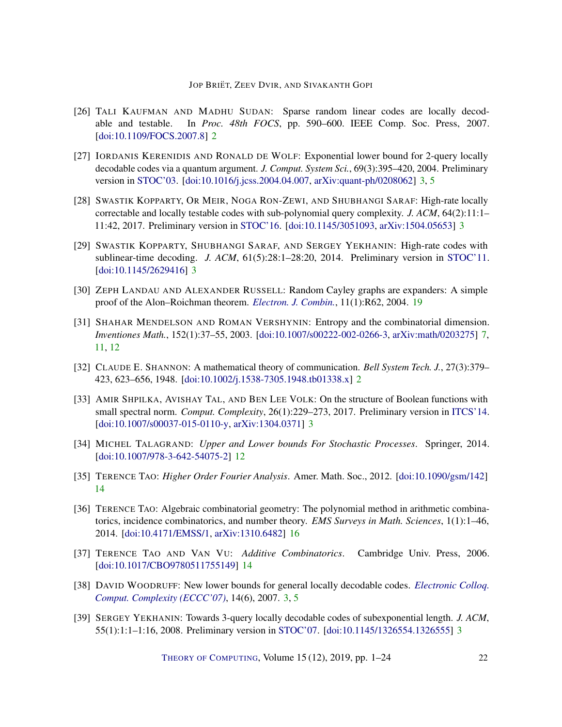- <span id="page-21-1"></span>[26] TALI KAUFMAN AND MADHU SUDAN: Sparse random linear codes are locally decodable and testable. In *Proc. 48th FOCS*, pp. 590–600. IEEE Comp. Soc. Press, 2007. [\[doi:10.1109/FOCS.2007.8\]](http://dx.doi.org/10.1109/FOCS.2007.8) [2](#page-1-0)
- <span id="page-21-2"></span>[27] IORDANIS KERENIDIS AND RONALD DE WOLF: Exponential lower bound for 2-query locally decodable codes via a quantum argument. *J. Comput. System Sci.*, 69(3):395–420, 2004. Preliminary version in [STOC'03.](https://dl.acm.org/citation.cfm?id=780560) [\[doi:10.1016/j.jcss.2004.04.007,](http://dx.doi.org/10.1016/j.jcss.2004.04.007) [arXiv:quant-ph/0208062\]](http://arxiv.org/abs/quant-ph/0208062) [3,](#page-2-0) [5](#page-4-2)
- <span id="page-21-6"></span>[28] SWASTIK KOPPARTY, OR MEIR, NOGA RON-ZEWI, AND SHUBHANGI SARAF: High-rate locally correctable and locally testable codes with sub-polynomial query complexity. *J. ACM*, 64(2):11:1– 11:42, 2017. Preliminary version in [STOC'16.](https://dl.acm.org/citation.cfm?id=2897523) [\[doi:10.1145/3051093,](http://dx.doi.org/10.1145/3051093) [arXiv:1504.05653\]](http://arxiv.org/abs/1504.05653) [3](#page-2-0)
- <span id="page-21-5"></span>[29] SWASTIK KOPPARTY, SHUBHANGI SARAF, AND SERGEY YEKHANIN: High-rate codes with sublinear-time decoding. *J. ACM*, 61(5):28:1-28:20, 2014. Preliminary version in [STOC'11.](https://doi.org/10.1145/1993636.1993660) [\[doi:10.1145/2629416\]](http://dx.doi.org/10.1145/2629416) [3](#page-2-0)
- <span id="page-21-13"></span>[30] ZEPH LANDAU AND ALEXANDER RUSSELL: Random Cayley graphs are expanders: A simple proof of the Alon–Roichman theorem. *[Electron. J. Combin.](https://www.combinatorics.org/ojs/index.php/eljc/article/view/v11i1r62)*, 11(1):R62, 2004. [19](#page-18-1)
- <span id="page-21-8"></span>[31] SHAHAR MENDELSON AND ROMAN VERSHYNIN: Entropy and the combinatorial dimension. *Inventiones Math.*, 152(1):37–55, 2003. [\[doi:10.1007/s00222-002-0266-3,](http://dx.doi.org/10.1007/s00222-002-0266-3) [arXiv:math/0203275\]](http://arxiv.org/abs/math/0203275) [7,](#page-6-4) [11,](#page-10-3) [12](#page-11-1)
- <span id="page-21-0"></span>[32] CLAUDE E. SHANNON: A mathematical theory of communication. *Bell System Tech. J.*, 27(3):379– 423, 623–656, 1948. [\[doi:10.1002/j.1538-7305.1948.tb01338.x\]](http://dx.doi.org/10.1002/j.1538-7305.1948.tb01338.x) [2](#page-1-0)
- <span id="page-21-7"></span>[33] AMIR SHPILKA, AVISHAY TAL, AND BEN LEE VOLK: On the structure of Boolean functions with small spectral norm. *Comput. Complexity*, 26(1):229–273, 2017. Preliminary version in [ITCS'14.](https://doi.org/10.1145/2554797.2554803) [\[doi:10.1007/s00037-015-0110-y,](http://dx.doi.org/10.1007/s00037-015-0110-y) [arXiv:1304.0371\]](http://arxiv.org/abs/1304.0371) [3](#page-2-0)
- <span id="page-21-9"></span>[34] MICHEL TALAGRAND: *Upper and Lower bounds For Stochastic Processes*. Springer, 2014. [\[doi:10.1007/978-3-642-54075-2\]](http://dx.doi.org/10.1007/978-3-642-54075-2) [12](#page-11-1)
- <span id="page-21-10"></span>[35] TERENCE TAO: *Higher Order Fourier Analysis*. Amer. Math. Soc., 2012. [\[doi:10.1090/gsm/142\]](http://dx.doi.org/10.1090/gsm/142) [14](#page-13-4)
- <span id="page-21-12"></span>[36] TERENCE TAO: Algebraic combinatorial geometry: The polynomial method in arithmetic combinatorics, incidence combinatorics, and number theory. *EMS Surveys in Math. Sciences*, 1(1):1–46, 2014. [\[doi:10.4171/EMSS/1,](http://dx.doi.org/10.4171/EMSS/1) [arXiv:1310.6482\]](http://arxiv.org/abs/1310.6482) [16](#page-15-4)
- <span id="page-21-11"></span>[37] TERENCE TAO AND VAN VU: *Additive Combinatorics*. Cambridge Univ. Press, 2006. [\[doi:10.1017/CBO9780511755149\]](http://dx.doi.org/10.1017/CBO9780511755149) [14](#page-13-4)
- <span id="page-21-4"></span>[38] DAVID WOODRUFF: New lower bounds for general locally decodable codes. *[Electronic Colloq.](https://eccc.weizmann.ac.il//eccc-reports/2007/TR07-006/index.html) [Comput. Complexity \(ECCC'07\)](https://eccc.weizmann.ac.il//eccc-reports/2007/TR07-006/index.html)*, 14(6), 2007. [3,](#page-2-0) [5](#page-4-2)
- <span id="page-21-3"></span>[39] SERGEY YEKHANIN: Towards 3-query locally decodable codes of subexponential length. *J. ACM*, 55(1):1:1–1:16, 2008. Preliminary version in [STOC'07.](https://doi.org/10.1145/1250790.1250830) [\[doi:10.1145/1326554.1326555\]](http://dx.doi.org/10.1145/1326554.1326555) [3](#page-2-0)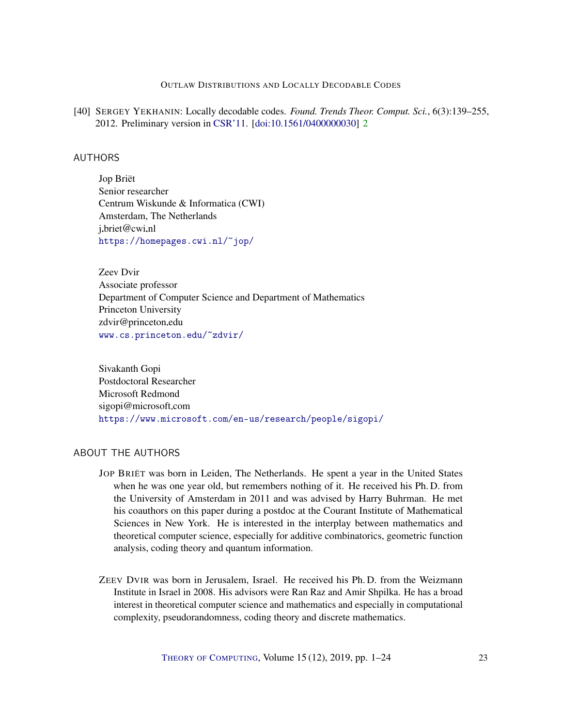## OUTLAW DISTRIBUTIONS AND LOCALLY DECODABLE CODES

<span id="page-22-3"></span>[40] SERGEY YEKHANIN: Locally decodable codes. *Found. Trends Theor. Comput. Sci.*, 6(3):139–255, 2012. Preliminary version in [CSR'11.](https://link.springer.com/chapter/10.1007/978-3-642-20712-9_22) [\[doi:10.1561/0400000030\]](http://dx.doi.org/10.1561/0400000030) [2](#page-1-0)

# <span id="page-22-0"></span>AUTHORS

Jop Briët Senior researcher Centrum Wiskunde & Informatica (CWI) Amsterdam, The Netherlands j.briet@cwi.nl <https://homepages.cwi.nl/~jop/>

<span id="page-22-1"></span>Zeev Dvir Associate professor Department of Computer Science and Department of Mathematics Princeton University zdvir@princeton.edu <www.cs.princeton.edu/~zdvir/>

<span id="page-22-2"></span>Sivakanth Gopi Postdoctoral Researcher Microsoft Redmond sigopi@microsoft.com <https://www.microsoft.com/en-us/research/people/sigopi/>

## ABOUT THE AUTHORS

- JOP BRIËT was born in Leiden, The Netherlands. He spent a year in the United States when he was one year old, but remembers nothing of it. He received his Ph. D. from the University of Amsterdam in 2011 and was advised by Harry Buhrman. He met his coauthors on this paper during a postdoc at the Courant Institute of Mathematical Sciences in New York. He is interested in the interplay between mathematics and theoretical computer science, especially for additive combinatorics, geometric function analysis, coding theory and quantum information.
- ZEEV DVIR was born in Jerusalem, Israel. He received his Ph. D. from the Weizmann Institute in Israel in 2008. His advisors were Ran Raz and Amir Shpilka. He has a broad interest in theoretical computer science and mathematics and especially in computational complexity, pseudorandomness, coding theory and discrete mathematics.